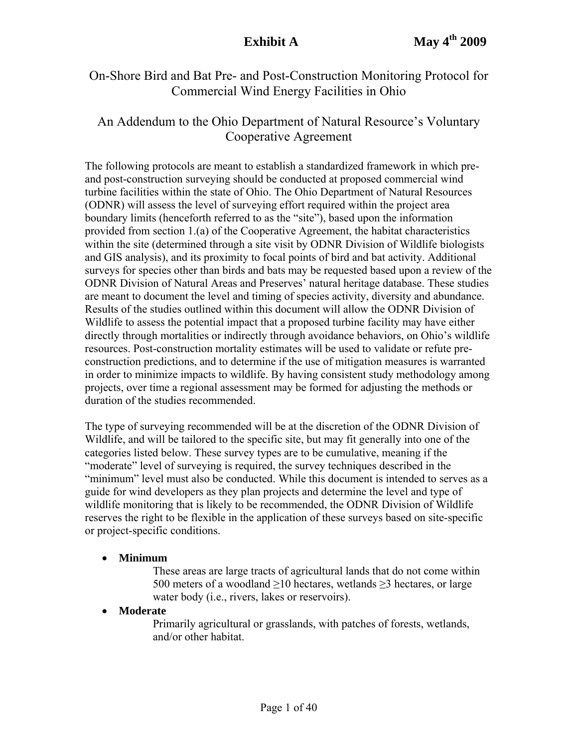# On-Shore Bird and Bat Pre- and Post-Construction Monitoring Protocol for Commercial Wind Energy Facilities in Ohio

# An Addendum to the Ohio Department of Natural Resource's Voluntary Cooperative Agreement

The following protocols are meant to establish a standardized framework in which preand post-construction surveying should be conducted at proposed commercial wind turbine facilities within the state of Ohio. The Ohio Department of Natural Resources (ODNR) will assess the level of surveying effort required within the project area boundary limits (henceforth referred to as the "site"), based upon the information provided from section 1.(a) of the Cooperative Agreement, the habitat characteristics within the site (determined through a site visit by ODNR Division of Wildlife biologists and GIS analysis), and its proximity to focal points of bird and bat activity. Additional surveys for species other than birds and bats may be requested based upon a review of the ODNR Division of Natural Areas and Preserves' natural heritage database. These studies are meant to document the level and timing of species activity, diversity and abundance. Results of the studies outlined within this document will allow the ODNR Division of Wildlife to assess the potential impact that a proposed turbine facility may have either directly through mortalities or indirectly through avoidance behaviors, on Ohio's wildlife resources. Post-construction mortality estimates will be used to validate or refute preconstruction predictions, and to determine if the use of mitigation measures is warranted in order to minimize impacts to wildlife. By having consistent study methodology among projects, over time a regional assessment may be formed for adjusting the methods or duration of the studies recommended.

The type of surveying recommended will be at the discretion of the ODNR Division of Wildlife, and will be tailored to the specific site, but may fit generally into one of the categories listed below. These survey types are to be cumulative, meaning if the "moderate" level of surveying is required, the survey techniques described in the "minimum" level must also be conducted. While this document is intended to serves as a guide for wind developers as they plan projects and determine the level and type of wildlife monitoring that is likely to be recommended, the ODNR Division of Wildlife reserves the right to be flexible in the application of these surveys based on site-specific or project-specific conditions.

## • **Minimum**

These areas are large tracts of agricultural lands that do not come within 500 meters of a woodland ≥10 hectares, wetlands ≥3 hectares, or large water body (i.e., rivers, lakes or reservoirs).

## • **Moderate**

Primarily agricultural or grasslands, with patches of forests, wetlands, and/or other habitat.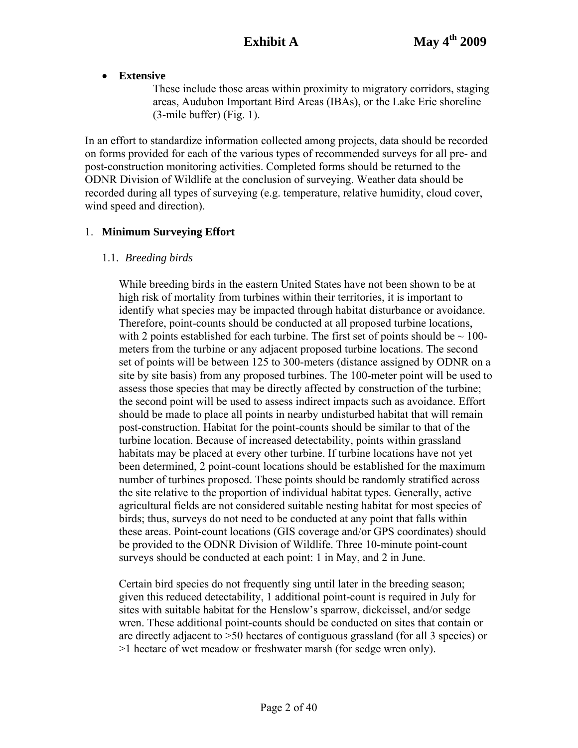• **Extensive** 

These include those areas within proximity to migratory corridors, staging areas, Audubon Important Bird Areas (IBAs), or the Lake Erie shoreline (3-mile buffer) (Fig. 1).

In an effort to standardize information collected among projects, data should be recorded on forms provided for each of the various types of recommended surveys for all pre- and post-construction monitoring activities. Completed forms should be returned to the ODNR Division of Wildlife at the conclusion of surveying. Weather data should be recorded during all types of surveying (e.g. temperature, relative humidity, cloud cover, wind speed and direction).

# 1. **Minimum Surveying Effort**

# 1.1. *Breeding birds*

While breeding birds in the eastern United States have not been shown to be at high risk of mortality from turbines within their territories, it is important to identify what species may be impacted through habitat disturbance or avoidance. Therefore, point-counts should be conducted at all proposed turbine locations, with 2 points established for each turbine. The first set of points should be  $\sim 100$ meters from the turbine or any adjacent proposed turbine locations. The second set of points will be between 125 to 300-meters (distance assigned by ODNR on a site by site basis) from any proposed turbines. The 100-meter point will be used to assess those species that may be directly affected by construction of the turbine; the second point will be used to assess indirect impacts such as avoidance. Effort should be made to place all points in nearby undisturbed habitat that will remain post-construction. Habitat for the point-counts should be similar to that of the turbine location. Because of increased detectability, points within grassland habitats may be placed at every other turbine. If turbine locations have not yet been determined, 2 point-count locations should be established for the maximum number of turbines proposed. These points should be randomly stratified across the site relative to the proportion of individual habitat types. Generally, active agricultural fields are not considered suitable nesting habitat for most species of birds; thus, surveys do not need to be conducted at any point that falls within these areas. Point-count locations (GIS coverage and/or GPS coordinates) should be provided to the ODNR Division of Wildlife. Three 10-minute point-count surveys should be conducted at each point: 1 in May, and 2 in June.

Certain bird species do not frequently sing until later in the breeding season; given this reduced detectability, 1 additional point-count is required in July for sites with suitable habitat for the Henslow's sparrow, dickcissel, and/or sedge wren. These additional point-counts should be conducted on sites that contain or are directly adjacent to >50 hectares of contiguous grassland (for all 3 species) or >1 hectare of wet meadow or freshwater marsh (for sedge wren only).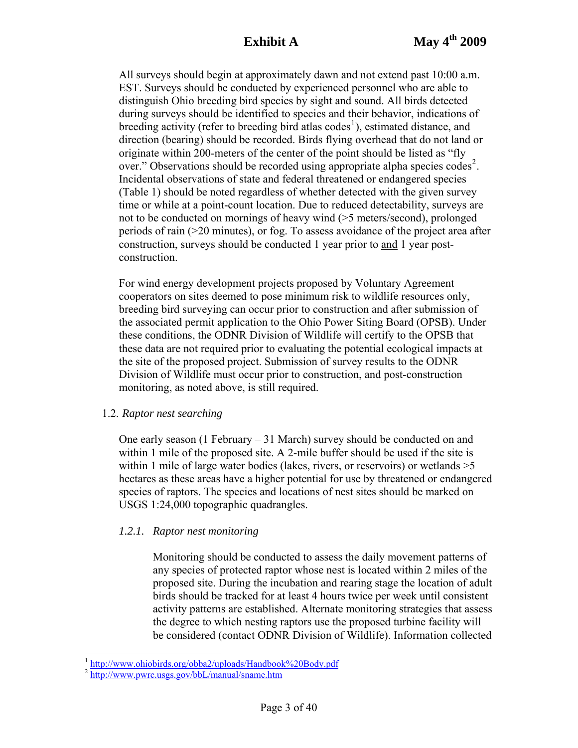All surveys should begin at approximately dawn and not extend past 10:00 a.m. EST. Surveys should be conducted by experienced personnel who are able to distinguish Ohio breeding bird species by sight and sound. All birds detected during surveys should be identified to species and their behavior, indications of breeding activity (refer to breeding bird atlas  $\text{codes}^1$  $\text{codes}^1$ ), estimated distance, and direction (bearing) should be recorded. Birds flying overhead that do not land or originate within 200-meters of the center of the point should be listed as "fly over." Observations should be recorded using appropriate alpha species codes<sup>[2](#page-2-1)</sup>. Incidental observations of state and federal threatened or endangered species (Table 1) should be noted regardless of whether detected with the given survey time or while at a point-count location. Due to reduced detectability, surveys are not to be conducted on mornings of heavy wind (>5 meters/second), prolonged periods of rain (>20 minutes), or fog. To assess avoidance of the project area after construction, surveys should be conducted 1 year prior to and 1 year postconstruction.

For wind energy development projects proposed by Voluntary Agreement cooperators on sites deemed to pose minimum risk to wildlife resources only, breeding bird surveying can occur prior to construction and after submission of the associated permit application to the Ohio Power Siting Board (OPSB). Under these conditions, the ODNR Division of Wildlife will certify to the OPSB that these data are not required prior to evaluating the potential ecological impacts at the site of the proposed project. Submission of survey results to the ODNR Division of Wildlife must occur prior to construction, and post-construction monitoring, as noted above, is still required.

## 1.2. *Raptor nest searching*

One early season (1 February  $-31$  March) survey should be conducted on and within 1 mile of the proposed site. A 2-mile buffer should be used if the site is within 1 mile of large water bodies (lakes, rivers, or reservoirs) or wetlands  $>5$ hectares as these areas have a higher potential for use by threatened or endangered species of raptors. The species and locations of nest sites should be marked on USGS 1:24,000 topographic quadrangles.

# *1.2.1. Raptor nest monitoring*

Monitoring should be conducted to assess the daily movement patterns of any species of protected raptor whose nest is located within 2 miles of the proposed site. During the incubation and rearing stage the location of adult birds should be tracked for at least 4 hours twice per week until consistent activity patterns are established. Alternate monitoring strategies that assess the degree to which nesting raptors use the proposed turbine facility will be considered (contact ODNR Division of Wildlife). Information collected

 $\overline{a}$ 

<sup>&</sup>lt;sup>1</sup> http://www.ohiobirds.org/obba2/uploads/Handbook%20Body.pdf<br><sup>2</sup> http://www.pwrc.usgs.gov/bbL/manual/sname.htm

<span id="page-2-1"></span><span id="page-2-0"></span>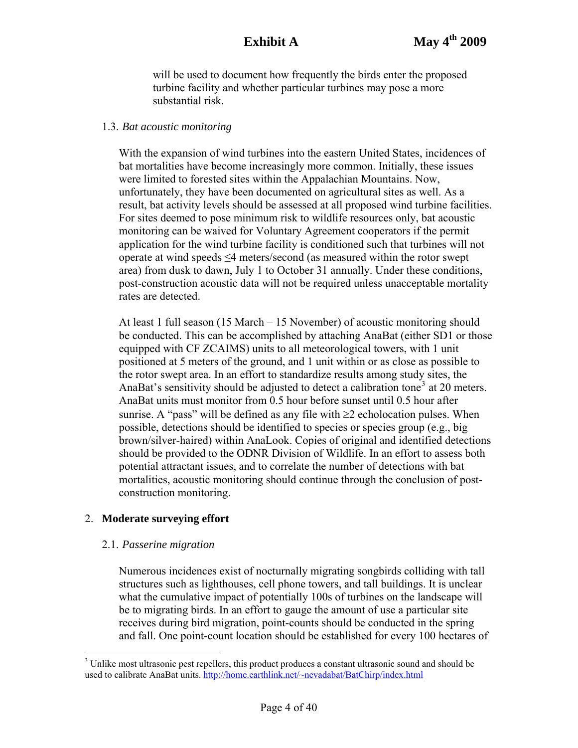will be used to document how frequently the birds enter the proposed turbine facility and whether particular turbines may pose a more substantial risk.

## 1.3. *Bat acoustic monitoring*

With the expansion of wind turbines into the eastern United States, incidences of bat mortalities have become increasingly more common. Initially, these issues were limited to forested sites within the Appalachian Mountains. Now, unfortunately, they have been documented on agricultural sites as well. As a result, bat activity levels should be assessed at all proposed wind turbine facilities. For sites deemed to pose minimum risk to wildlife resources only, bat acoustic monitoring can be waived for Voluntary Agreement cooperators if the permit application for the wind turbine facility is conditioned such that turbines will not operate at wind speeds ≤4 meters/second (as measured within the rotor swept area) from dusk to dawn, July 1 to October 31 annually. Under these conditions, post-construction acoustic data will not be required unless unacceptable mortality rates are detected.

At least 1 full season (15 March – 15 November) of acoustic monitoring should be conducted. This can be accomplished by attaching AnaBat (either SD1 or those equipped with CF ZCAIMS) units to all meteorological towers, with 1 unit positioned at 5 meters of the ground, and 1 unit within or as close as possible to the rotor swept area. In an effort to standardize results among study sites, the AnaBat's sensitivity should be adjusted to detect a calibration tone<sup>[3](#page-3-0)</sup> at 20 meters. AnaBat units must monitor from 0.5 hour before sunset until 0.5 hour after sunrise. A "pass" will be defined as any file with  $\geq 2$  echolocation pulses. When possible, detections should be identified to species or species group (e.g., big brown/silver-haired) within AnaLook. Copies of original and identified detections should be provided to the ODNR Division of Wildlife. In an effort to assess both potential attractant issues, and to correlate the number of detections with bat mortalities, acoustic monitoring should continue through the conclusion of postconstruction monitoring.

# 2. **Moderate surveying effort**

## 2.1. *Passerine migration*

Numerous incidences exist of nocturnally migrating songbirds colliding with tall structures such as lighthouses, cell phone towers, and tall buildings. It is unclear what the cumulative impact of potentially 100s of turbines on the landscape will be to migrating birds. In an effort to gauge the amount of use a particular site receives during bird migration, point-counts should be conducted in the spring and fall. One point-count location should be established for every 100 hectares of

<span id="page-3-0"></span><sup>&</sup>lt;sup>3</sup> Unlike most ultrasonic pest repellers, this product produces a constant ultrasonic sound and should be used to calibrate AnaBat units. [http://home.earthlink.net/~nevadabat/BatChirp/index.html](http://home.earthlink.net/%7Enevadabat/BatChirp/index.html)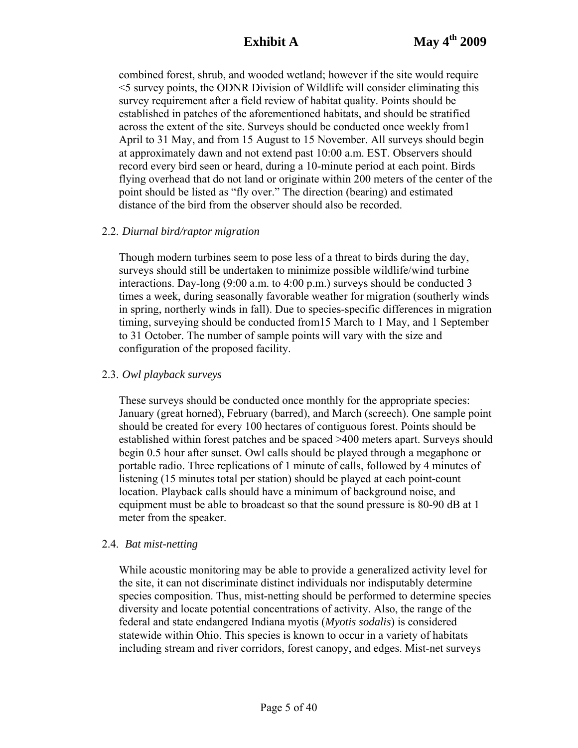combined forest, shrub, and wooded wetland; however if the site would require <5 survey points, the ODNR Division of Wildlife will consider eliminating this survey requirement after a field review of habitat quality. Points should be established in patches of the aforementioned habitats, and should be stratified across the extent of the site. Surveys should be conducted once weekly from1 April to 31 May, and from 15 August to 15 November. All surveys should begin at approximately dawn and not extend past 10:00 a.m. EST. Observers should record every bird seen or heard, during a 10-minute period at each point. Birds flying overhead that do not land or originate within 200 meters of the center of the point should be listed as "fly over." The direction (bearing) and estimated distance of the bird from the observer should also be recorded.

#### 2.2. *Diurnal bird/raptor migration*

Though modern turbines seem to pose less of a threat to birds during the day, surveys should still be undertaken to minimize possible wildlife/wind turbine interactions. Day-long (9:00 a.m. to 4:00 p.m.) surveys should be conducted 3 times a week, during seasonally favorable weather for migration (southerly winds in spring, northerly winds in fall). Due to species-specific differences in migration timing, surveying should be conducted from15 March to 1 May, and 1 September to 31 October. The number of sample points will vary with the size and configuration of the proposed facility.

#### 2.3. *Owl playback surveys*

These surveys should be conducted once monthly for the appropriate species: January (great horned), February (barred), and March (screech). One sample point should be created for every 100 hectares of contiguous forest. Points should be established within forest patches and be spaced >400 meters apart. Surveys should begin 0.5 hour after sunset. Owl calls should be played through a megaphone or portable radio. Three replications of 1 minute of calls, followed by 4 minutes of listening (15 minutes total per station) should be played at each point-count location. Playback calls should have a minimum of background noise, and equipment must be able to broadcast so that the sound pressure is 80-90 dB at 1 meter from the speaker.

#### 2.4. *Bat mist-netting*

While acoustic monitoring may be able to provide a generalized activity level for the site, it can not discriminate distinct individuals nor indisputably determine species composition. Thus, mist-netting should be performed to determine species diversity and locate potential concentrations of activity. Also, the range of the federal and state endangered Indiana myotis (*Myotis sodalis*) is considered statewide within Ohio. This species is known to occur in a variety of habitats including stream and river corridors, forest canopy, and edges. Mist-net surveys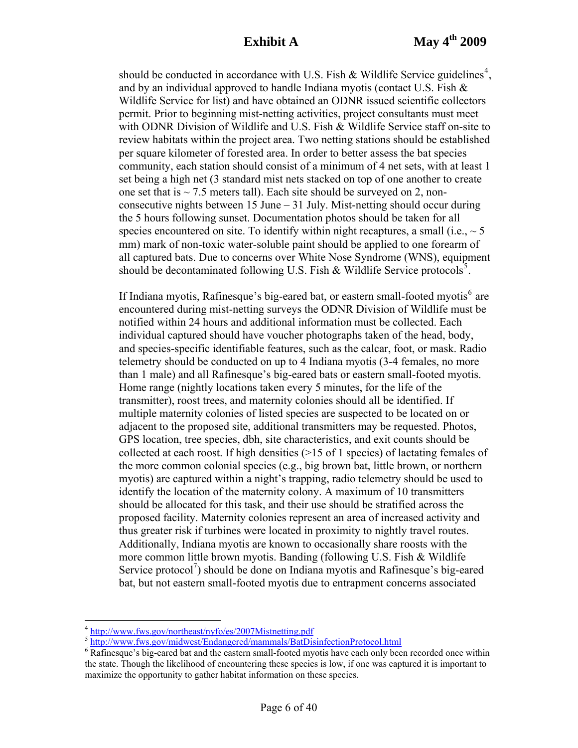should be conducted in accordance with U.S. Fish & Wildlife Service guidelines<sup>[4](#page-5-0)</sup>, and by an individual approved to handle Indiana myotis (contact U.S. Fish & Wildlife Service for list) and have obtained an ODNR issued scientific collectors permit. Prior to beginning mist-netting activities, project consultants must meet with ODNR Division of Wildlife and U.S. Fish & Wildlife Service staff on-site to review habitats within the project area. Two netting stations should be established per square kilometer of forested area. In order to better assess the bat species community, each station should consist of a minimum of 4 net sets, with at least 1 set being a high net (3 standard mist nets stacked on top of one another to create one set that is  $\sim$  7.5 meters tall). Each site should be surveyed on 2, nonconsecutive nights between 15 June  $-31$  July. Mist-netting should occur during the 5 hours following sunset. Documentation photos should be taken for all species encountered on site. To identify within night recaptures, a small (i.e.,  $\sim$  5 mm) mark of non-toxic water-soluble paint should be applied to one forearm of all captured bats. Due to concerns over White Nose Syndrome (WNS), equipment should be decontaminated following U.S. Fish  $&$  Wildlife Service protocols<sup>[5](#page-5-1)</sup>.

If Indiana myotis, Rafinesque's big-eared bat, or eastern small-footed myotis<sup>[6](#page-5-2)</sup> are encountered during mist-netting surveys the ODNR Division of Wildlife must be notified within 24 hours and additional information must be collected. Each individual captured should have voucher photographs taken of the head, body, and species-specific identifiable features, such as the calcar, foot, or mask. Radio telemetry should be conducted on up to 4 Indiana myotis (3-4 females, no more than 1 male) and all Rafinesque's big-eared bats or eastern small-footed myotis. Home range (nightly locations taken every 5 minutes, for the life of the transmitter), roost trees, and maternity colonies should all be identified. If multiple maternity colonies of listed species are suspected to be located on or adjacent to the proposed site, additional transmitters may be requested. Photos, GPS location, tree species, dbh, site characteristics, and exit counts should be collected at each roost. If high densities (>15 of 1 species) of lactating females of the more common colonial species (e.g., big brown bat, little brown, or northern myotis) are captured within a night's trapping, radio telemetry should be used to identify the location of the maternity colony. A maximum of 10 transmitters should be allocated for this task, and their use should be stratified across the proposed facility. Maternity colonies represent an area of increased activity and thus greater risk if turbines were located in proximity to nightly travel routes. Additionally, Indiana myotis are known to occasionally share roosts with the more common little brown myotis. Banding (following U.S. Fish & Wildlife Service protocol<sup>7</sup>) should be done on Indiana myotis and Rafinesque's big-eared bat, but not eastern small-footed myotis due to entrapment concerns associated

 $\overline{a}$ 

<span id="page-5-0"></span> $\frac{4 \text{ http://www.fws.gov/northeast/nyfo/es/2007Mistnetting.pdf}}{\text{http://www.fws.gov/midwest/Endangered/mammals/BatDisinfectionProtocol.html}}$  $\frac{4 \text{ http://www.fws.gov/northeast/nyfo/es/2007Mistnetting.pdf}}{\text{http://www.fws.gov/midwest/Endangered/mammals/BatDisinfectionProtocol.html}}$  $\frac{4 \text{ http://www.fws.gov/northeast/nyfo/es/2007Mistnetting.pdf}}{\text{http://www.fws.gov/midwest/Endangered/mammals/BatDisinfectionProtocol.html}}$  $\frac{4 \text{ http://www.fws.gov/northeast/nyfo/es/2007Mistnetting.pdf}}{\text{http://www.fws.gov/midwest/Endangered/mammals/BatDisinfectionProtocol.html}}$  $\frac{4 \text{ http://www.fws.gov/northeast/nyfo/es/2007Mistnetting.pdf}}{\text{http://www.fws.gov/midwest/Endangered/mammals/BatDisinfectionProtocol.html}}$ 

<span id="page-5-2"></span><span id="page-5-1"></span><sup>&</sup>lt;sup>6</sup> Rafinesque's big-eared bat and the eastern small-footed myotis have each only been recorded once within the state. Though the likelihood of encountering these species is low, if one was captured it is important to maximize the opportunity to gather habitat information on these species.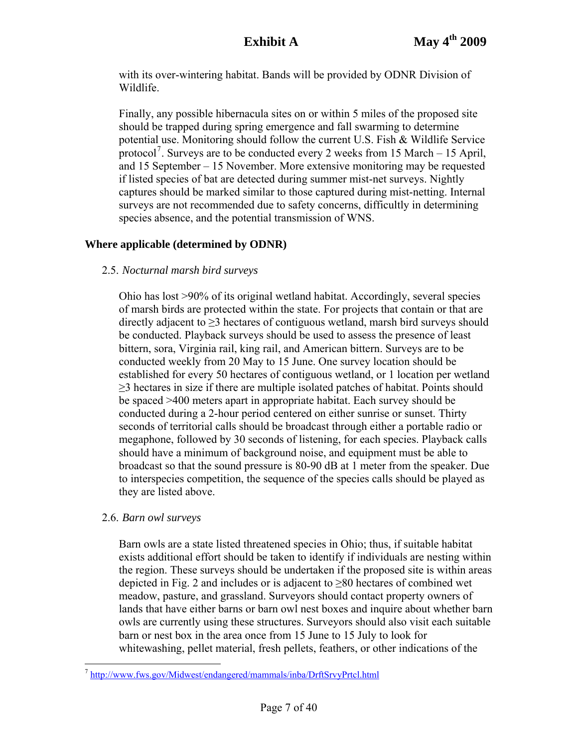with its over-wintering habitat. Bands will be provided by ODNR Division of Wildlife.

Finally, any possible hibernacula sites on or within 5 miles of the proposed site should be trapped during spring emergence and fall swarming to determine potential use. Monitoring should follow the current U.S. Fish & Wildlife Service protocol<sup>[7](#page-6-0)</sup>. Surveys are to be conducted every 2 weeks from 15 March  $-$  15 April, and 15 September – 15 November. More extensive monitoring may be requested if listed species of bat are detected during summer mist-net surveys. Nightly captures should be marked similar to those captured during mist-netting. Internal surveys are not recommended due to safety concerns, difficultly in determining species absence, and the potential transmission of WNS.

# **Where applicable (determined by ODNR)**

## 2.5. *Nocturnal marsh bird surveys*

Ohio has lost >90% of its original wetland habitat. Accordingly, several species of marsh birds are protected within the state. For projects that contain or that are directly adjacent to  $\geq$ 3 hectares of contiguous wetland, marsh bird surveys should be conducted. Playback surveys should be used to assess the presence of least bittern, sora, Virginia rail, king rail, and American bittern. Surveys are to be conducted weekly from 20 May to 15 June. One survey location should be established for every 50 hectares of contiguous wetland, or 1 location per wetland  $\geq$ 3 hectares in size if there are multiple isolated patches of habitat. Points should be spaced >400 meters apart in appropriate habitat. Each survey should be conducted during a 2-hour period centered on either sunrise or sunset. Thirty seconds of territorial calls should be broadcast through either a portable radio or megaphone, followed by 30 seconds of listening, for each species. Playback calls should have a minimum of background noise, and equipment must be able to broadcast so that the sound pressure is 80-90 dB at 1 meter from the speaker. Due to interspecies competition, the sequence of the species calls should be played as they are listed above.

## 2.6. *Barn owl surveys*

Barn owls are a state listed threatened species in Ohio; thus, if suitable habitat exists additional effort should be taken to identify if individuals are nesting within the region. These surveys should be undertaken if the proposed site is within areas depicted in Fig. 2 and includes or is adjacent to  $\geq 80$  hectares of combined wet meadow, pasture, and grassland. Surveyors should contact property owners of lands that have either barns or barn owl nest boxes and inquire about whether barn owls are currently using these structures. Surveyors should also visit each suitable barn or nest box in the area once from 15 June to 15 July to look for whitewashing, pellet material, fresh pellets, feathers, or other indications of the

<span id="page-6-0"></span> $\overline{a}$ <sup>7</sup> <http://www.fws.gov/Midwest/endangered/mammals/inba/DrftSrvyPrtcl.html>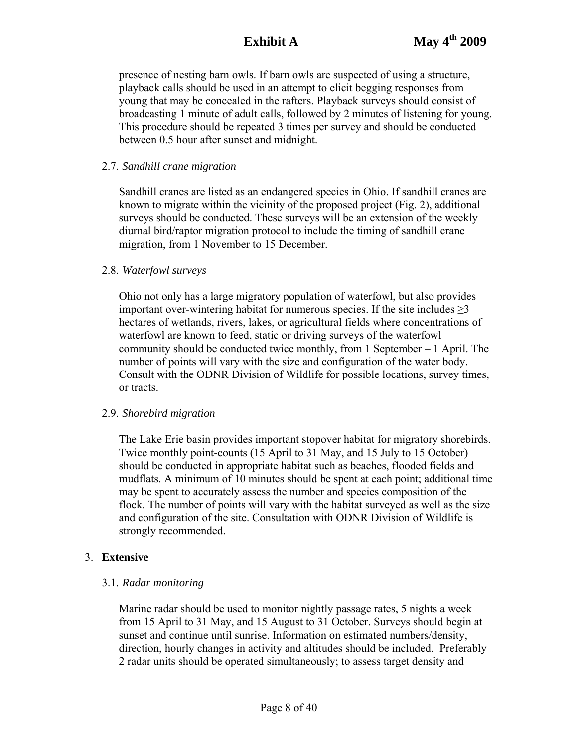presence of nesting barn owls. If barn owls are suspected of using a structure, playback calls should be used in an attempt to elicit begging responses from young that may be concealed in the rafters. Playback surveys should consist of broadcasting 1 minute of adult calls, followed by 2 minutes of listening for young. This procedure should be repeated 3 times per survey and should be conducted between 0.5 hour after sunset and midnight.

## 2.7. *Sandhill crane migration*

Sandhill cranes are listed as an endangered species in Ohio. If sandhill cranes are known to migrate within the vicinity of the proposed project (Fig. 2), additional surveys should be conducted. These surveys will be an extension of the weekly diurnal bird/raptor migration protocol to include the timing of sandhill crane migration, from 1 November to 15 December.

## 2.8. *Waterfowl surveys*

Ohio not only has a large migratory population of waterfowl, but also provides important over-wintering habitat for numerous species. If the site includes  $\geq 3$ hectares of wetlands, rivers, lakes, or agricultural fields where concentrations of waterfowl are known to feed, static or driving surveys of the waterfowl community should be conducted twice monthly, from 1 September – 1 April. The number of points will vary with the size and configuration of the water body. Consult with the ODNR Division of Wildlife for possible locations, survey times, or tracts.

## 2.9. *Shorebird migration*

The Lake Erie basin provides important stopover habitat for migratory shorebirds. Twice monthly point-counts (15 April to 31 May, and 15 July to 15 October) should be conducted in appropriate habitat such as beaches, flooded fields and mudflats. A minimum of 10 minutes should be spent at each point; additional time may be spent to accurately assess the number and species composition of the flock. The number of points will vary with the habitat surveyed as well as the size and configuration of the site. Consultation with ODNR Division of Wildlife is strongly recommended.

## 3. **Extensive**

# 3.1. *Radar monitoring*

Marine radar should be used to monitor nightly passage rates, 5 nights a week from 15 April to 31 May, and 15 August to 31 October. Surveys should begin at sunset and continue until sunrise. Information on estimated numbers/density, direction, hourly changes in activity and altitudes should be included. Preferably 2 radar units should be operated simultaneously; to assess target density and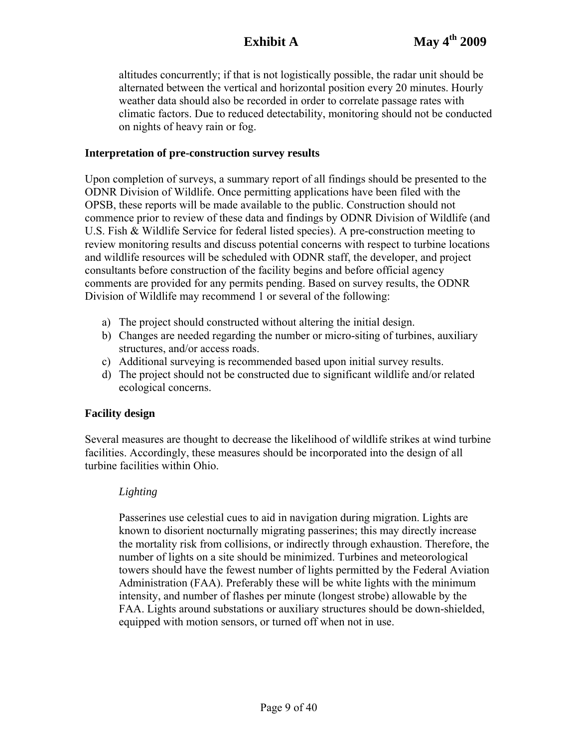altitudes concurrently; if that is not logistically possible, the radar unit should be alternated between the vertical and horizontal position every 20 minutes. Hourly weather data should also be recorded in order to correlate passage rates with climatic factors. Due to reduced detectability, monitoring should not be conducted on nights of heavy rain or fog.

### **Interpretation of pre-construction survey results**

Upon completion of surveys, a summary report of all findings should be presented to the ODNR Division of Wildlife. Once permitting applications have been filed with the OPSB, these reports will be made available to the public. Construction should not commence prior to review of these data and findings by ODNR Division of Wildlife (and U.S. Fish & Wildlife Service for federal listed species). A pre-construction meeting to review monitoring results and discuss potential concerns with respect to turbine locations and wildlife resources will be scheduled with ODNR staff, the developer, and project consultants before construction of the facility begins and before official agency comments are provided for any permits pending. Based on survey results, the ODNR Division of Wildlife may recommend 1 or several of the following:

- a) The project should constructed without altering the initial design.
- b) Changes are needed regarding the number or micro-siting of turbines, auxiliary structures, and/or access roads.
- c) Additional surveying is recommended based upon initial survey results.
- d) The project should not be constructed due to significant wildlife and/or related ecological concerns.

## **Facility design**

Several measures are thought to decrease the likelihood of wildlife strikes at wind turbine facilities. Accordingly, these measures should be incorporated into the design of all turbine facilities within Ohio.

## *Lighting*

Passerines use celestial cues to aid in navigation during migration. Lights are known to disorient nocturnally migrating passerines; this may directly increase the mortality risk from collisions, or indirectly through exhaustion. Therefore, the number of lights on a site should be minimized. Turbines and meteorological towers should have the fewest number of lights permitted by the Federal Aviation Administration (FAA). Preferably these will be white lights with the minimum intensity, and number of flashes per minute (longest strobe) allowable by the FAA. Lights around substations or auxiliary structures should be down-shielded, equipped with motion sensors, or turned off when not in use.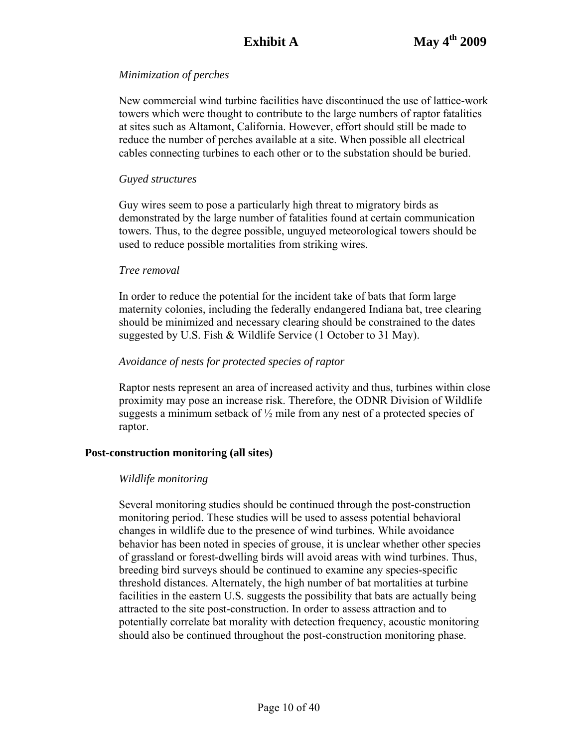## *Minimization of perches*

New commercial wind turbine facilities have discontinued the use of lattice-work towers which were thought to contribute to the large numbers of raptor fatalities at sites such as Altamont, California. However, effort should still be made to reduce the number of perches available at a site. When possible all electrical cables connecting turbines to each other or to the substation should be buried.

### *Guyed structures*

Guy wires seem to pose a particularly high threat to migratory birds as demonstrated by the large number of fatalities found at certain communication towers. Thus, to the degree possible, unguyed meteorological towers should be used to reduce possible mortalities from striking wires.

#### *Tree removal*

In order to reduce the potential for the incident take of bats that form large maternity colonies, including the federally endangered Indiana bat, tree clearing should be minimized and necessary clearing should be constrained to the dates suggested by U.S. Fish & Wildlife Service (1 October to 31 May).

## *Avoidance of nests for protected species of raptor*

Raptor nests represent an area of increased activity and thus, turbines within close proximity may pose an increase risk. Therefore, the ODNR Division of Wildlife suggests a minimum setback of  $\frac{1}{2}$  mile from any nest of a protected species of raptor.

## **Post-construction monitoring (all sites)**

## *Wildlife monitoring*

Several monitoring studies should be continued through the post-construction monitoring period. These studies will be used to assess potential behavioral changes in wildlife due to the presence of wind turbines. While avoidance behavior has been noted in species of grouse, it is unclear whether other species of grassland or forest-dwelling birds will avoid areas with wind turbines. Thus, breeding bird surveys should be continued to examine any species-specific threshold distances. Alternately, the high number of bat mortalities at turbine facilities in the eastern U.S. suggests the possibility that bats are actually being attracted to the site post-construction. In order to assess attraction and to potentially correlate bat morality with detection frequency, acoustic monitoring should also be continued throughout the post-construction monitoring phase.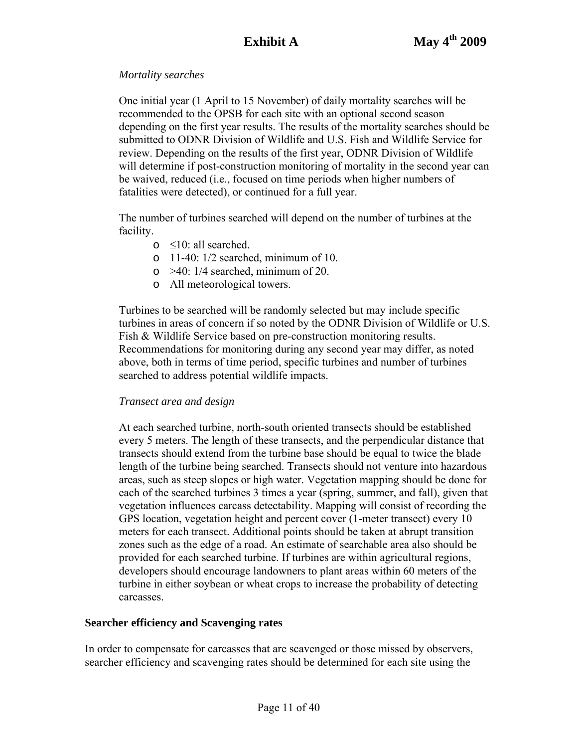## *Mortality searches*

One initial year (1 April to 15 November) of daily mortality searches will be recommended to the OPSB for each site with an optional second season depending on the first year results. The results of the mortality searches should be submitted to ODNR Division of Wildlife and U.S. Fish and Wildlife Service for review. Depending on the results of the first year, ODNR Division of Wildlife will determine if post-construction monitoring of mortality in the second year can be waived, reduced (i.e., focused on time periods when higher numbers of fatalities were detected), or continued for a full year.

The number of turbines searched will depend on the number of turbines at the facility.

- $\circ$  ≤10: all searched.
- $\circ$  11-40: 1/2 searched, minimum of 10.
- $\circ$  >40: 1/4 searched, minimum of 20.
- o All meteorological towers.

Turbines to be searched will be randomly selected but may include specific turbines in areas of concern if so noted by the ODNR Division of Wildlife or U.S. Fish & Wildlife Service based on pre-construction monitoring results. Recommendations for monitoring during any second year may differ, as noted above, both in terms of time period, specific turbines and number of turbines searched to address potential wildlife impacts.

## *Transect area and design*

At each searched turbine, north-south oriented transects should be established every 5 meters. The length of these transects, and the perpendicular distance that transects should extend from the turbine base should be equal to twice the blade length of the turbine being searched. Transects should not venture into hazardous areas, such as steep slopes or high water. Vegetation mapping should be done for each of the searched turbines 3 times a year (spring, summer, and fall), given that vegetation influences carcass detectability. Mapping will consist of recording the GPS location, vegetation height and percent cover (1-meter transect) every 10 meters for each transect. Additional points should be taken at abrupt transition zones such as the edge of a road. An estimate of searchable area also should be provided for each searched turbine. If turbines are within agricultural regions, developers should encourage landowners to plant areas within 60 meters of the turbine in either soybean or wheat crops to increase the probability of detecting carcasses.

## **Searcher efficiency and Scavenging rates**

In order to compensate for carcasses that are scavenged or those missed by observers, searcher efficiency and scavenging rates should be determined for each site using the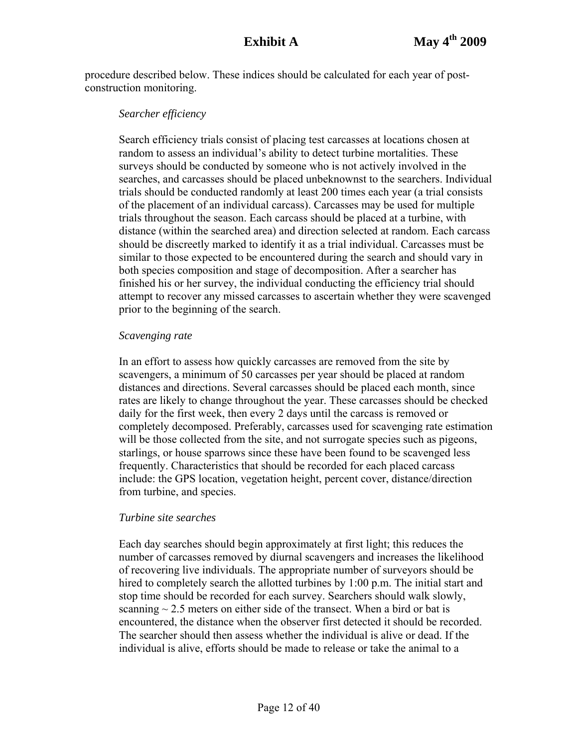procedure described below. These indices should be calculated for each year of postconstruction monitoring.

#### *Searcher efficiency*

Search efficiency trials consist of placing test carcasses at locations chosen at random to assess an individual's ability to detect turbine mortalities. These surveys should be conducted by someone who is not actively involved in the searches, and carcasses should be placed unbeknownst to the searchers. Individual trials should be conducted randomly at least 200 times each year (a trial consists of the placement of an individual carcass). Carcasses may be used for multiple trials throughout the season. Each carcass should be placed at a turbine, with distance (within the searched area) and direction selected at random. Each carcass should be discreetly marked to identify it as a trial individual. Carcasses must be similar to those expected to be encountered during the search and should vary in both species composition and stage of decomposition. After a searcher has finished his or her survey, the individual conducting the efficiency trial should attempt to recover any missed carcasses to ascertain whether they were scavenged prior to the beginning of the search.

#### *Scavenging rate*

In an effort to assess how quickly carcasses are removed from the site by scavengers, a minimum of 50 carcasses per year should be placed at random distances and directions. Several carcasses should be placed each month, since rates are likely to change throughout the year. These carcasses should be checked daily for the first week, then every 2 days until the carcass is removed or completely decomposed. Preferably, carcasses used for scavenging rate estimation will be those collected from the site, and not surrogate species such as pigeons, starlings, or house sparrows since these have been found to be scavenged less frequently. Characteristics that should be recorded for each placed carcass include: the GPS location, vegetation height, percent cover, distance/direction from turbine, and species.

#### *Turbine site searches*

Each day searches should begin approximately at first light; this reduces the number of carcasses removed by diurnal scavengers and increases the likelihood of recovering live individuals. The appropriate number of surveyors should be hired to completely search the allotted turbines by 1:00 p.m. The initial start and stop time should be recorded for each survey. Searchers should walk slowly, scanning  $\sim$  2.5 meters on either side of the transect. When a bird or bat is encountered, the distance when the observer first detected it should be recorded. The searcher should then assess whether the individual is alive or dead. If the individual is alive, efforts should be made to release or take the animal to a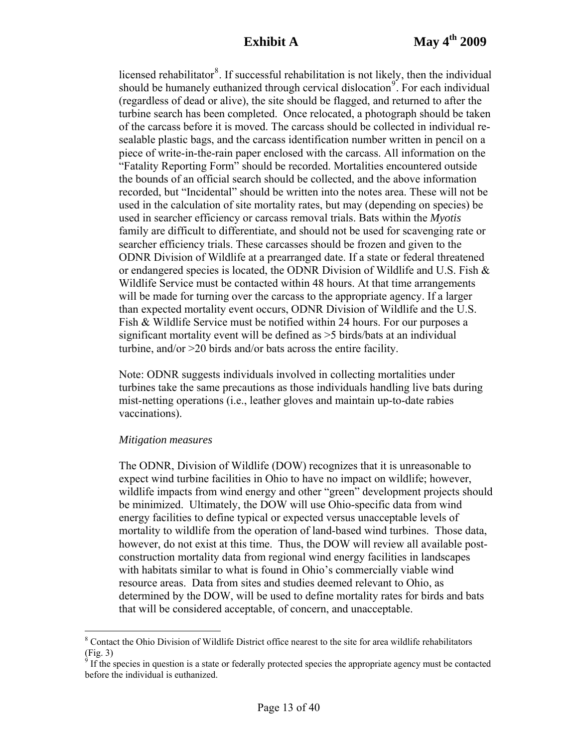licensed rehabilitator<sup>[8](#page-12-0)</sup>. If successful rehabilitation is not likely, then the individual should be humanely euthanized through cervical dislocation<sup>[9](#page-12-1)</sup>. For each individual (regardless of dead or alive), the site should be flagged, and returned to after the turbine search has been completed. Once relocated, a photograph should be taken of the carcass before it is moved. The carcass should be collected in individual resealable plastic bags, and the carcass identification number written in pencil on a piece of write-in-the-rain paper enclosed with the carcass. All information on the "Fatality Reporting Form" should be recorded. Mortalities encountered outside the bounds of an official search should be collected, and the above information recorded, but "Incidental" should be written into the notes area. These will not be used in the calculation of site mortality rates, but may (depending on species) be used in searcher efficiency or carcass removal trials. Bats within the *Myotis* family are difficult to differentiate, and should not be used for scavenging rate or searcher efficiency trials. These carcasses should be frozen and given to the ODNR Division of Wildlife at a prearranged date. If a state or federal threatened or endangered species is located, the ODNR Division of Wildlife and U.S. Fish & Wildlife Service must be contacted within 48 hours. At that time arrangements will be made for turning over the carcass to the appropriate agency. If a larger than expected mortality event occurs, ODNR Division of Wildlife and the U.S. Fish & Wildlife Service must be notified within 24 hours. For our purposes a significant mortality event will be defined as >5 birds/bats at an individual turbine, and/or >20 birds and/or bats across the entire facility.

Note: ODNR suggests individuals involved in collecting mortalities under turbines take the same precautions as those individuals handling live bats during mist-netting operations (i.e., leather gloves and maintain up-to-date rabies vaccinations).

#### *Mitigation measures*

 $\overline{a}$ 

The ODNR, Division of Wildlife (DOW) recognizes that it is unreasonable to expect wind turbine facilities in Ohio to have no impact on wildlife; however, wildlife impacts from wind energy and other "green" development projects should be minimized. Ultimately, the DOW will use Ohio-specific data from wind energy facilities to define typical or expected versus unacceptable levels of mortality to wildlife from the operation of land-based wind turbines. Those data, however, do not exist at this time. Thus, the DOW will review all available postconstruction mortality data from regional wind energy facilities in landscapes with habitats similar to what is found in Ohio's commercially viable wind resource areas. Data from sites and studies deemed relevant to Ohio, as determined by the DOW, will be used to define mortality rates for birds and bats that will be considered acceptable, of concern, and unacceptable.

<sup>&</sup>lt;sup>8</sup> Contact the Ohio Division of Wildlife District office nearest to the site for area wildlife rehabilitators (Fig. 3)<br><sup>9</sup> If the species in question is a state or federally protected species the appropriate agency must be contacted

<span id="page-12-1"></span><span id="page-12-0"></span>before the individual is euthanized.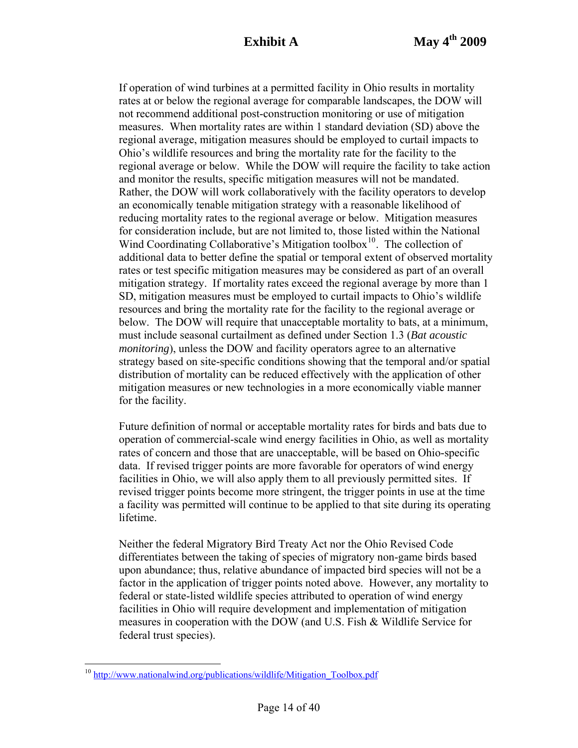If operation of wind turbines at a permitted facility in Ohio results in mortality rates at or below the regional average for comparable landscapes, the DOW will not recommend additional post-construction monitoring or use of mitigation measures. When mortality rates are within 1 standard deviation (SD) above the regional average, mitigation measures should be employed to curtail impacts to Ohio's wildlife resources and bring the mortality rate for the facility to the regional average or below. While the DOW will require the facility to take action and monitor the results, specific mitigation measures will not be mandated. Rather, the DOW will work collaboratively with the facility operators to develop an economically tenable mitigation strategy with a reasonable likelihood of reducing mortality rates to the regional average or below. Mitigation measures for consideration include, but are not limited to, those listed within the National Wind Coordinating Collaborative's Mitigation toolbox $10^{\circ}$  $10^{\circ}$ . The collection of additional data to better define the spatial or temporal extent of observed mortality rates or test specific mitigation measures may be considered as part of an overall mitigation strategy. If mortality rates exceed the regional average by more than 1 SD, mitigation measures must be employed to curtail impacts to Ohio's wildlife resources and bring the mortality rate for the facility to the regional average or below. The DOW will require that unacceptable mortality to bats, at a minimum, must include seasonal curtailment as defined under Section 1.3 (*Bat acoustic monitoring*), unless the DOW and facility operators agree to an alternative strategy based on site-specific conditions showing that the temporal and/or spatial distribution of mortality can be reduced effectively with the application of other mitigation measures or new technologies in a more economically viable manner for the facility.

Future definition of normal or acceptable mortality rates for birds and bats due to operation of commercial-scale wind energy facilities in Ohio, as well as mortality rates of concern and those that are unacceptable, will be based on Ohio-specific data. If revised trigger points are more favorable for operators of wind energy facilities in Ohio, we will also apply them to all previously permitted sites. If revised trigger points become more stringent, the trigger points in use at the time a facility was permitted will continue to be applied to that site during its operating lifetime.

Neither the federal Migratory Bird Treaty Act nor the Ohio Revised Code differentiates between the taking of species of migratory non-game birds based upon abundance; thus, relative abundance of impacted bird species will not be a factor in the application of trigger points noted above. However, any mortality to federal or state-listed wildlife species attributed to operation of wind energy facilities in Ohio will require development and implementation of mitigation measures in cooperation with the DOW (and U.S. Fish & Wildlife Service for federal trust species).

 $\overline{a}$ 

<span id="page-13-0"></span><sup>&</sup>lt;sup>10</sup> [http://www.nationalwind.org/publications/wildlife/Mitigation\\_Toolbox.pdf](http://www.nationalwind.org/publications/wildlife/Mitigation_Toolbox.pdf)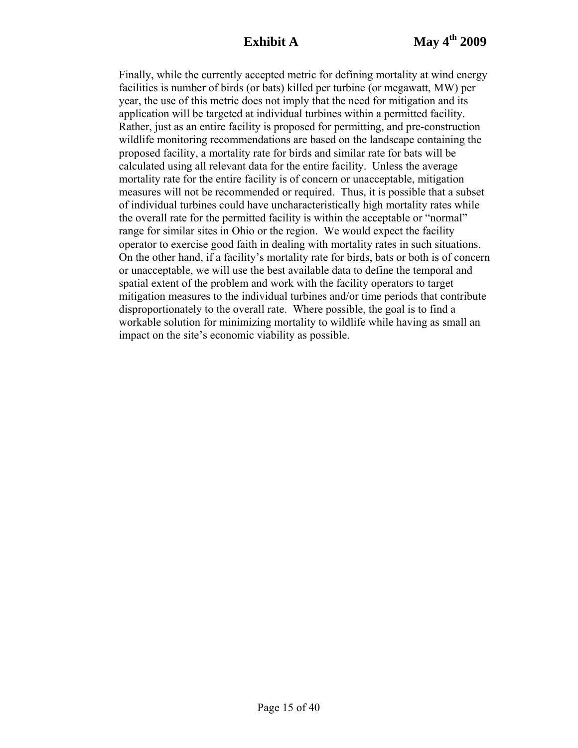Finally, while the currently accepted metric for defining mortality at wind energy facilities is number of birds (or bats) killed per turbine (or megawatt, MW) per year, the use of this metric does not imply that the need for mitigation and its application will be targeted at individual turbines within a permitted facility. Rather, just as an entire facility is proposed for permitting, and pre-construction wildlife monitoring recommendations are based on the landscape containing the proposed facility, a mortality rate for birds and similar rate for bats will be calculated using all relevant data for the entire facility. Unless the average mortality rate for the entire facility is of concern or unacceptable, mitigation measures will not be recommended or required. Thus, it is possible that a subset of individual turbines could have uncharacteristically high mortality rates while the overall rate for the permitted facility is within the acceptable or "normal" range for similar sites in Ohio or the region. We would expect the facility operator to exercise good faith in dealing with mortality rates in such situations. On the other hand, if a facility's mortality rate for birds, bats or both is of concern or unacceptable, we will use the best available data to define the temporal and spatial extent of the problem and work with the facility operators to target mitigation measures to the individual turbines and/or time periods that contribute disproportionately to the overall rate. Where possible, the goal is to find a workable solution for minimizing mortality to wildlife while having as small an impact on the site's economic viability as possible.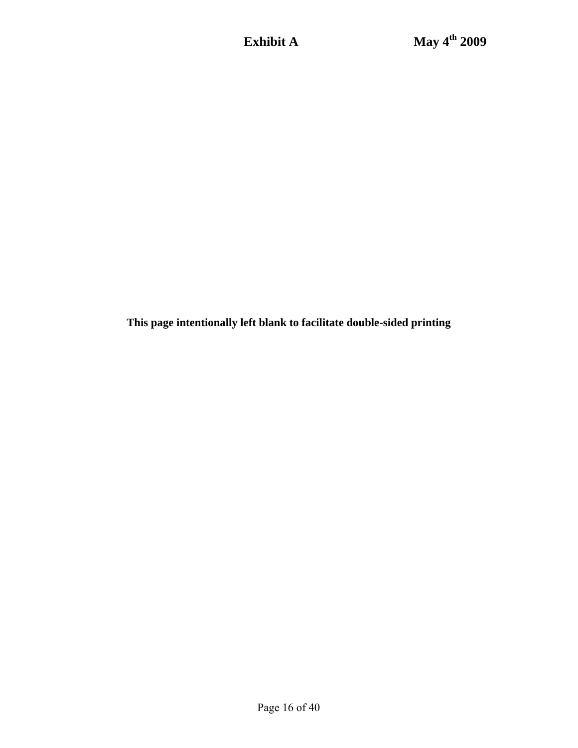**This page intentionally left blank to facilitate double-sided printing**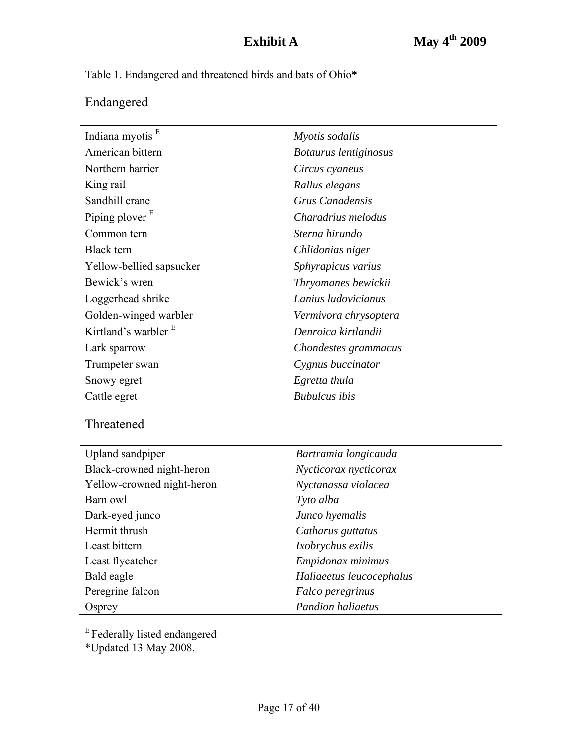Table 1. Endangered and threatened birds and bats of Ohio**\***

# Endangered

| Indiana myotis <sup>E</sup> | Myotis sodalis        |
|-----------------------------|-----------------------|
| American bittern            | Botaurus lentiginosus |
| Northern harrier            | Circus cyaneus        |
| King rail                   | Rallus elegans        |
| Sandhill crane              | Grus Canadensis       |
| Piping plover $E$           | Charadrius melodus    |
| Common tern                 | Sterna hirundo        |
| <b>Black</b> tern           | Chlidonias niger      |
| Yellow-bellied sapsucker    | Sphyrapicus varius    |
| Bewick's wren               | Thryomanes bewickii   |
| Loggerhead shrike           | Lanius ludovicianus   |
| Golden-winged warbler       | Vermivora chrysoptera |
| Kirtland's warbler $E$      | Denroica kirtlandii   |
| Lark sparrow                | Chondestes grammacus  |
| Trumpeter swan              | Cygnus buccinator     |
| Snowy egret                 | Egretta thula         |
| Cattle egret                | <b>Bubulcus</b> ibis  |

# Threatened

| Upland sandpiper           | Bartramia longicauda     |
|----------------------------|--------------------------|
| Black-crowned night-heron  | Nycticorax nycticorax    |
| Yellow-crowned night-heron | Nyctanassa violacea      |
| Barn owl                   | Tyto alba                |
| Dark-eyed junco            | Junco hyemalis           |
| Hermit thrush              | Catharus guttatus        |
| Least bittern              | Ixobrychus exilis        |
| Least flycatcher           | Empidonax minimus        |
| Bald eagle                 | Haliaeetus leucocephalus |
| Peregrine falcon           | Falco peregrinus         |
| Osprey                     | <b>Pandion haliaetus</b> |

<sup>E</sup> Federally listed endangered

\*Updated 13 May 2008.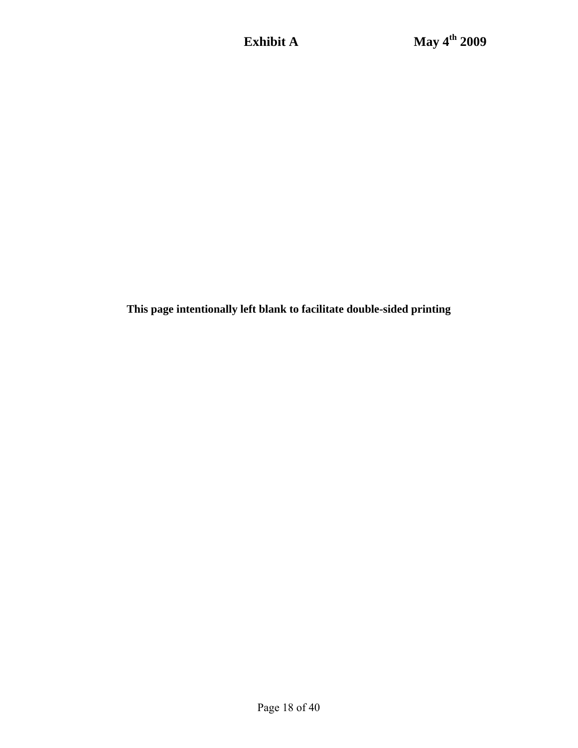**This page intentionally left blank to facilitate double-sided printing**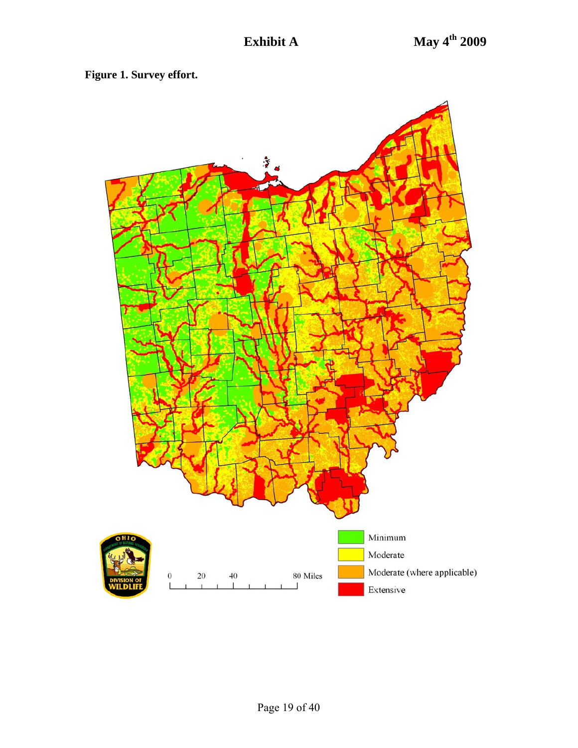**Figure 1. Survey effort.** 

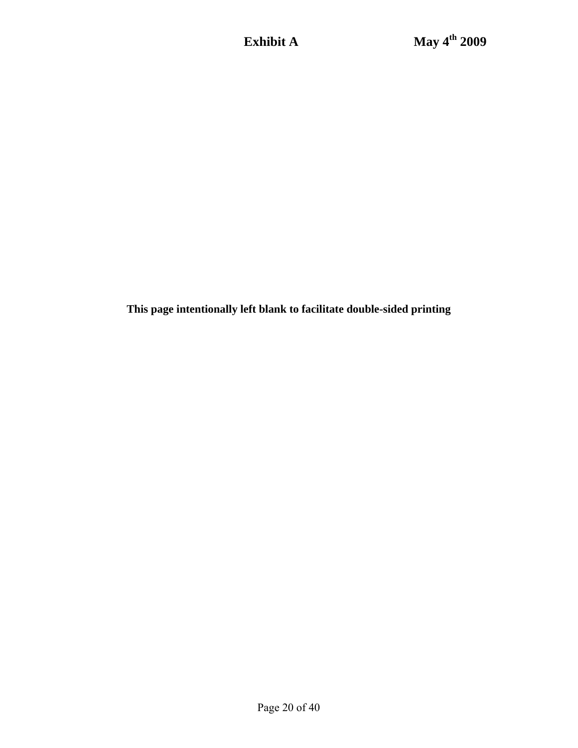**This page intentionally left blank to facilitate double-sided printing**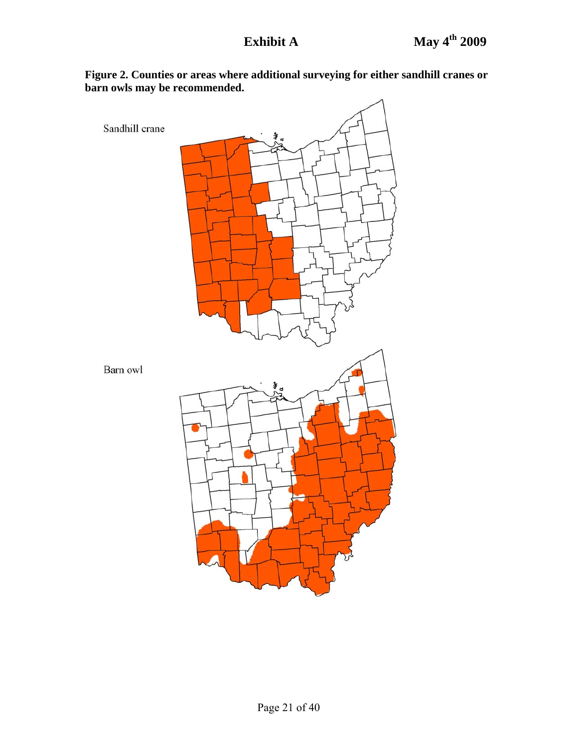

**Figure 2. Counties or areas where additional surveying for either sandhill cranes or barn owls may be recommended.**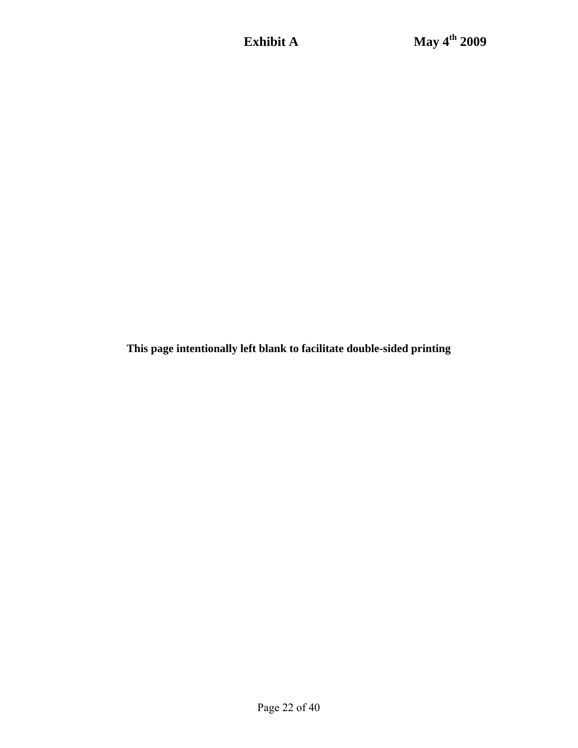**This page intentionally left blank to facilitate double-sided printing**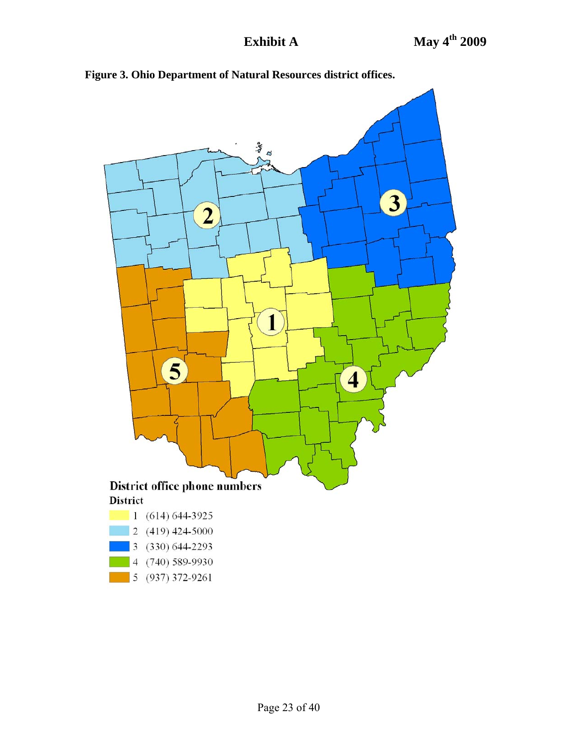

**Figure 3. Ohio Department of Natural Resources district offices.**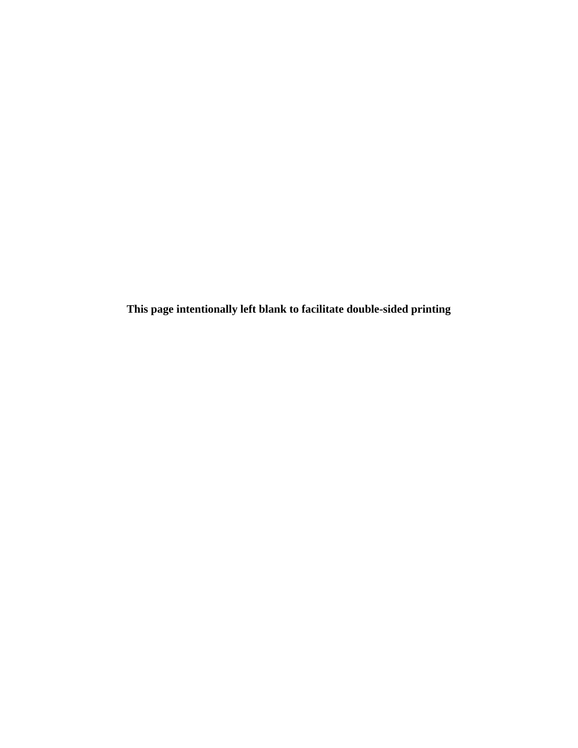**This page intentionally left blank to facilitate double-sided printing**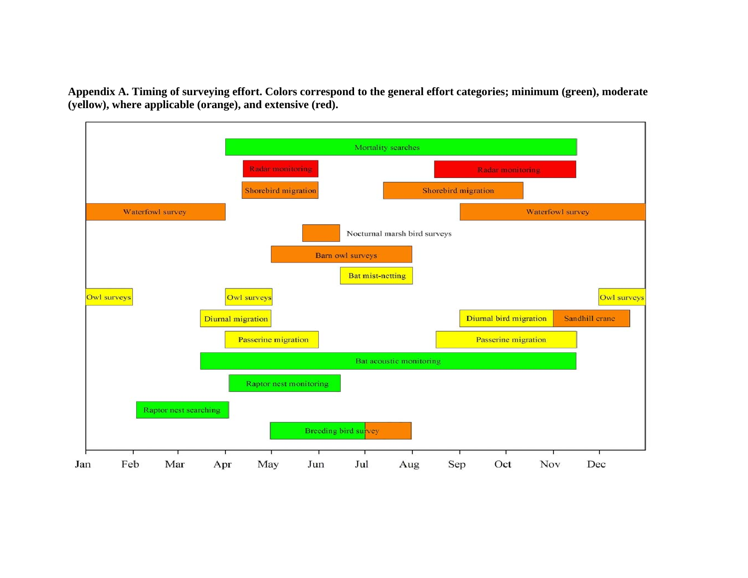**Appendix A. Timing of surveying effort. Colors correspond to the general effort categories; minimum (green), moderate (yellow), where applicable (orange), and extensive (red).** 

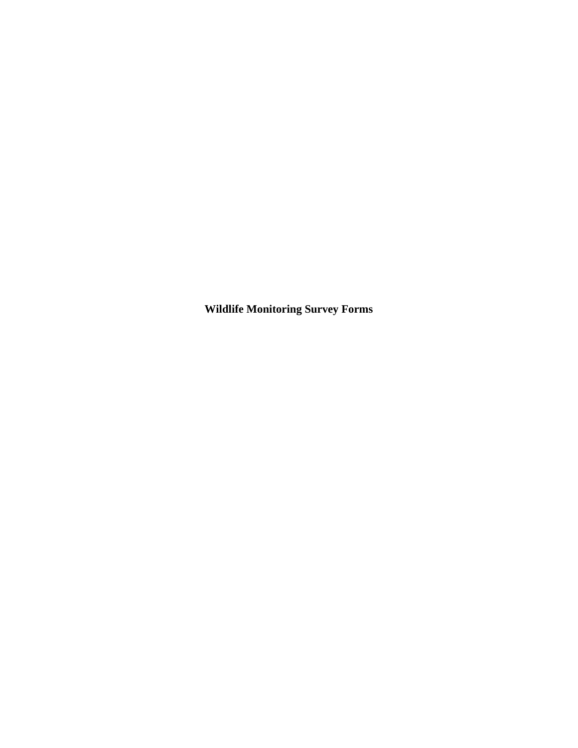**Wildlife Monitoring Survey Forms**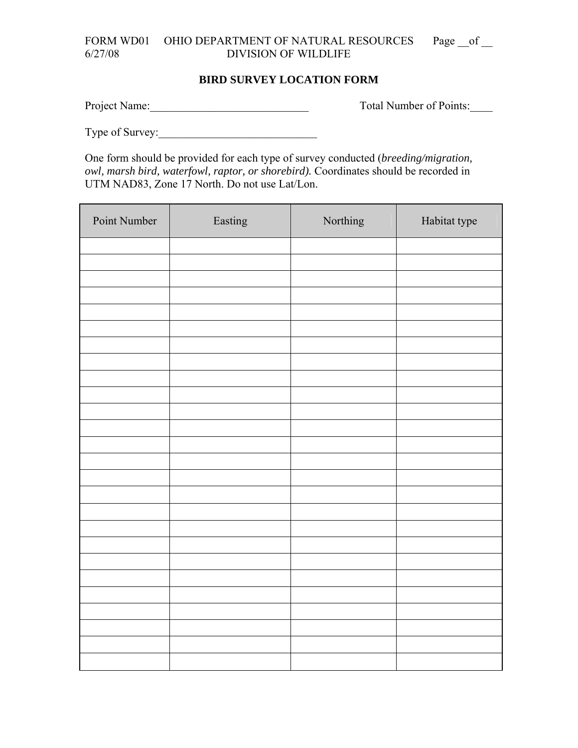## FORM WD01 OHIO DEPARTMENT OF NATURAL RESOURCES Page \_\_ of \_\_ 6/27/08 DIVISION OF WILDLIFE

#### **BIRD SURVEY LOCATION FORM**

Project Name: Total Number of Points:

Type of Survey:

One form should be provided for each type of survey conducted (*breeding/migration, owl, marsh bird, waterfowl, raptor, or shorebird).* Coordinates should be recorded in UTM NAD83, Zone 17 North. Do not use Lat/Lon.

| Point Number | Easting | Northing | Habitat type |
|--------------|---------|----------|--------------|
|              |         |          |              |
|              |         |          |              |
|              |         |          |              |
|              |         |          |              |
|              |         |          |              |
|              |         |          |              |
|              |         |          |              |
|              |         |          |              |
|              |         |          |              |
|              |         |          |              |
|              |         |          |              |
|              |         |          |              |
|              |         |          |              |
|              |         |          |              |
|              |         |          |              |
|              |         |          |              |
|              |         |          |              |
|              |         |          |              |
|              |         |          |              |
|              |         |          |              |
|              |         |          |              |
|              |         |          |              |
|              |         |          |              |
|              |         |          |              |
|              |         |          |              |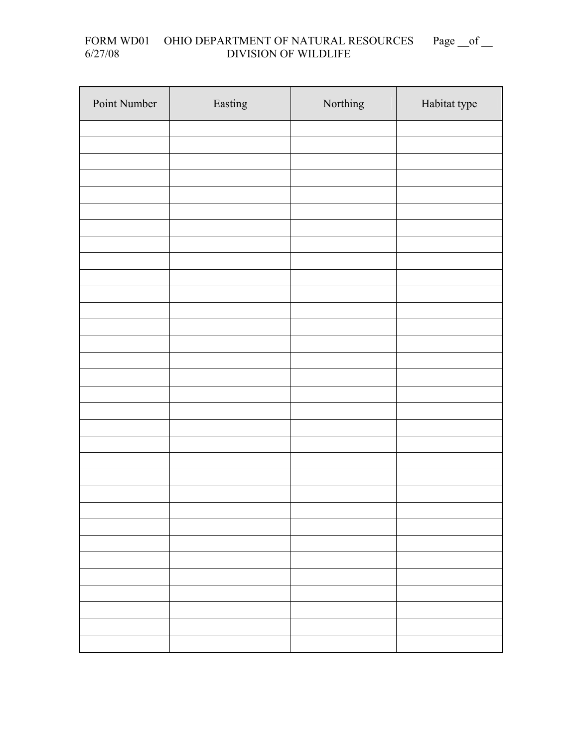#### FORM WD01 OHIO DEPARTMENT OF NATURAL RESOURCES Page \_\_of \_\_ 6/27/08 DIVISION OF WILDLIFE

| Point Number | Easting | Northing | Habitat type |
|--------------|---------|----------|--------------|
|              |         |          |              |
|              |         |          |              |
|              |         |          |              |
|              |         |          |              |
|              |         |          |              |
|              |         |          |              |
|              |         |          |              |
|              |         |          |              |
|              |         |          |              |
|              |         |          |              |
|              |         |          |              |
|              |         |          |              |
|              |         |          |              |
|              |         |          |              |
|              |         |          |              |
|              |         |          |              |
|              |         |          |              |
|              |         |          |              |
|              |         |          |              |
|              |         |          |              |
|              |         |          |              |
|              |         |          |              |
|              |         |          |              |
|              |         |          |              |
|              |         |          |              |
|              |         |          |              |
|              |         |          |              |
|              |         |          |              |
|              |         |          |              |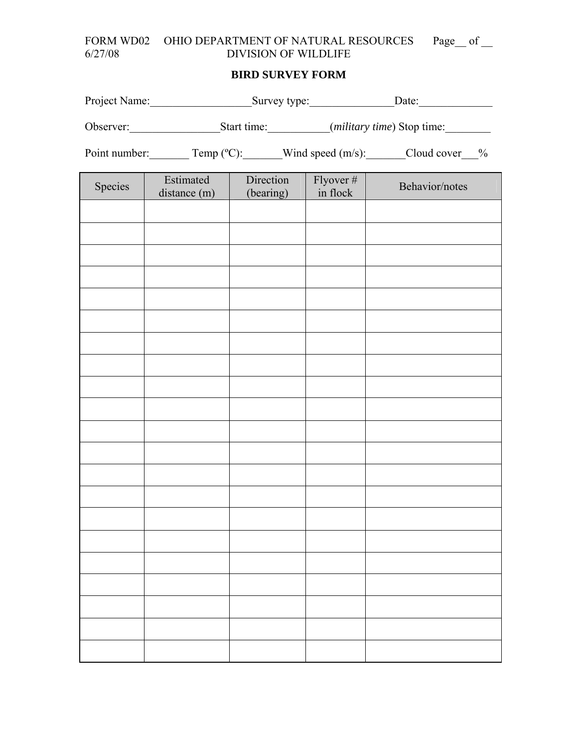# FORM WD02 OHIO DEPARTMENT OF NATURAL RESOURCES Page\_of \_\_ 6/27/08 DIVISION OF WILDLIFE DIVISION OF WILDLIFE

# **BIRD SURVEY FORM**

| Project Name:                                                                                 |           | Survey type: |                                 | Date:                               |  |
|-----------------------------------------------------------------------------------------------|-----------|--------------|---------------------------------|-------------------------------------|--|
| Observer:                                                                                     |           | Start time:  |                                 | ( <i>military time</i> ) Stop time: |  |
| Point number:<br>Wind speed $(m/s)$ :<br>Cloud cover<br>Temp $(^{\circ}C)$ :<br>$\frac{0}{0}$ |           |              |                                 |                                     |  |
|                                                                                               | Estimated | Diroction    | $\Gamma$ <sub>VOVO</sub> r $\#$ |                                     |  |

| Species | Estimated<br>distance (m) | Direction<br>(bearing) | $Flyover #$<br>in flock | Behavior/notes |
|---------|---------------------------|------------------------|-------------------------|----------------|
|         |                           |                        |                         |                |
|         |                           |                        |                         |                |
|         |                           |                        |                         |                |
|         |                           |                        |                         |                |
|         |                           |                        |                         |                |
|         |                           |                        |                         |                |
|         |                           |                        |                         |                |
|         |                           |                        |                         |                |
|         |                           |                        |                         |                |
|         |                           |                        |                         |                |
|         |                           |                        |                         |                |
|         |                           |                        |                         |                |
|         |                           |                        |                         |                |
|         |                           |                        |                         |                |
|         |                           |                        |                         |                |
|         |                           |                        |                         |                |
|         |                           |                        |                         |                |
|         |                           |                        |                         |                |
|         |                           |                        |                         |                |
|         |                           |                        |                         |                |
|         |                           |                        |                         |                |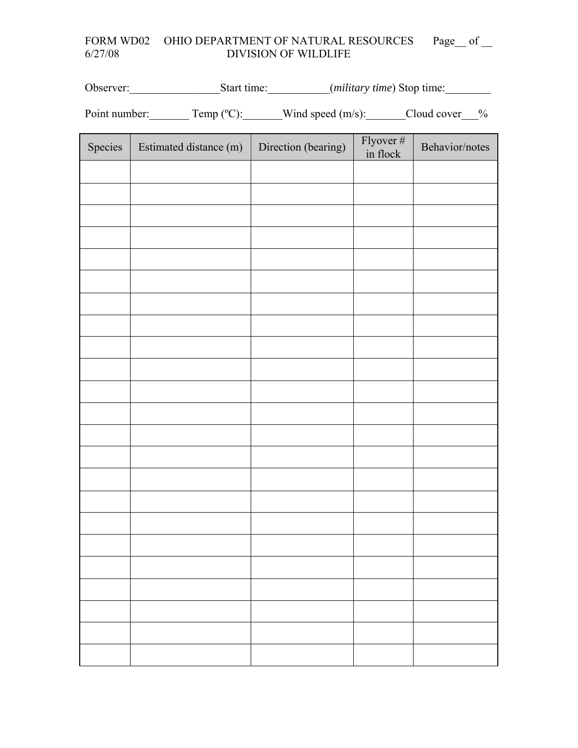# FORM WD02 OHIO DEPARTMENT OF NATURAL RESOURCES Page\_of \_\_ 6/27/08 DIVISION OF WILDLIFE DIVISION OF WILDLIFE

Observer:\_\_\_\_\_\_\_\_\_\_\_\_\_\_\_\_\_\_\_\_\_\_Start time:\_\_\_\_\_\_\_\_\_\_(*military time*) Stop time:\_\_\_\_\_\_\_\_

Point number: Temp (°C): Wind speed (m/s): Cloud cover  $\frac{9}{6}$ 

| Species | Estimated distance (m) | Direction (bearing) | Flyover $#$<br>in flock | Behavior/notes |
|---------|------------------------|---------------------|-------------------------|----------------|
|         |                        |                     |                         |                |
|         |                        |                     |                         |                |
|         |                        |                     |                         |                |
|         |                        |                     |                         |                |
|         |                        |                     |                         |                |
|         |                        |                     |                         |                |
|         |                        |                     |                         |                |
|         |                        |                     |                         |                |
|         |                        |                     |                         |                |
|         |                        |                     |                         |                |
|         |                        |                     |                         |                |
|         |                        |                     |                         |                |
|         |                        |                     |                         |                |
|         |                        |                     |                         |                |
|         |                        |                     |                         |                |
|         |                        |                     |                         |                |
|         |                        |                     |                         |                |
|         |                        |                     |                         |                |
|         |                        |                     |                         |                |
|         |                        |                     |                         |                |
|         |                        |                     |                         |                |
|         |                        |                     |                         |                |
|         |                        |                     |                         |                |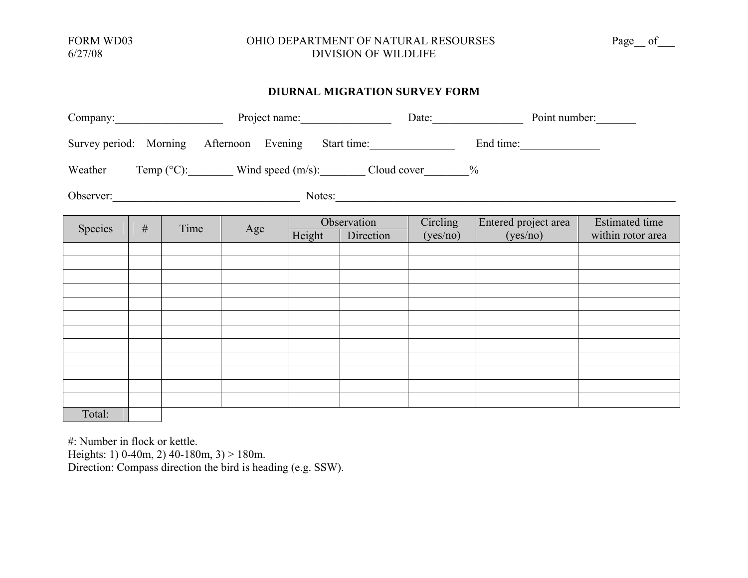#### FORM WD03 OHIO DEPARTMENT OF NATURAL RESOURSES Page\_\_ of\_\_\_ 6/27/08 DIVISION OF WILDLIFE

#### **DIURNAL MIGRATION SURVEY FORM**

| Company:                                                                      |                                                                   |      |     |        | Project name: |          |                      | Point number:         |
|-------------------------------------------------------------------------------|-------------------------------------------------------------------|------|-----|--------|---------------|----------|----------------------|-----------------------|
|                                                                               | Survey period: Morning Afternoon Evening Start time:<br>End time: |      |     |        |               |          |                      |                       |
| Weather Temp $(^{\circ}C)$ : Wind speed $(m/s)$ : Cloud cover $\frac{\%}{\%}$ |                                                                   |      |     |        |               |          |                      |                       |
| Observer: Notes: Notes:                                                       |                                                                   |      |     |        |               |          |                      |                       |
|                                                                               |                                                                   |      |     |        | Observation   | Circling | Entered project area | <b>Estimated time</b> |
| Species                                                                       | #                                                                 | Time | Age | Height | Direction     | (yes/no) | (yes/no)             | within rotor area     |
|                                                                               |                                                                   |      |     |        |               |          |                      |                       |
|                                                                               |                                                                   |      |     |        |               |          |                      |                       |
|                                                                               |                                                                   |      |     |        |               |          |                      |                       |
|                                                                               |                                                                   |      |     |        |               |          |                      |                       |
|                                                                               |                                                                   |      |     |        |               |          |                      |                       |
|                                                                               |                                                                   |      |     |        |               |          |                      |                       |
|                                                                               |                                                                   |      |     |        |               |          |                      |                       |
|                                                                               |                                                                   |      |     |        |               |          |                      |                       |
|                                                                               |                                                                   |      |     |        |               |          |                      |                       |
|                                                                               |                                                                   |      |     |        |               |          |                      |                       |
|                                                                               |                                                                   |      |     |        |               |          |                      |                       |
| Total:                                                                        |                                                                   |      |     |        |               |          |                      |                       |

#: Number in flock or kettle.

Heights: 1) 0-40m, 2) 40-180m, 3) > 180m. Direction: Compass direction the bird is heading (e.g. SSW).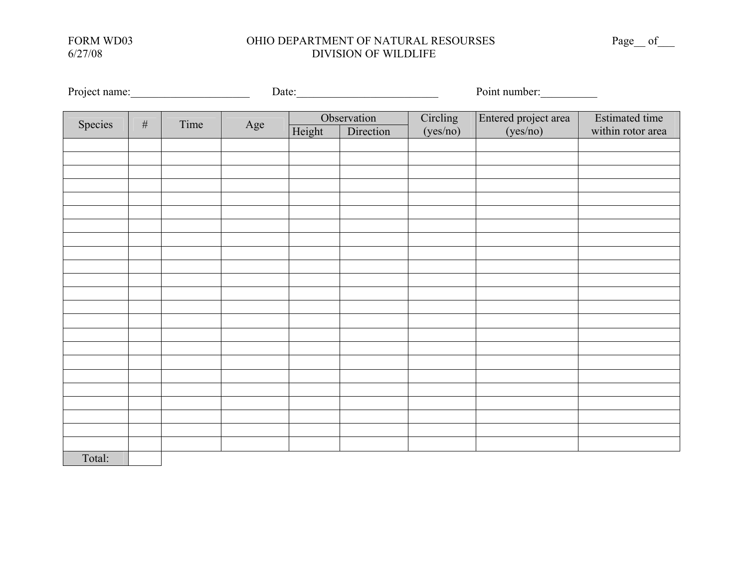#### FORM WD03 OHIO DEPARTMENT OF NATURAL RESOURSES Page\_of\_\_\_\_ 6/27/08 DIVISION OF WILDLIFE 6/27/08 DIVISION OF WILDLIFE

|         |   | Project name:<br>Date: |     |        | Point number:            |                      |                                  |                                            |
|---------|---|------------------------|-----|--------|--------------------------|----------------------|----------------------------------|--------------------------------------------|
| Species | # | Time                   | Age | Height | Observation<br>Direction | Circling<br>(yes/no) | Entered project area<br>(yes/no) | <b>Estimated time</b><br>within rotor area |
|         |   |                        |     |        |                          |                      |                                  |                                            |
|         |   |                        |     |        |                          |                      |                                  |                                            |
|         |   |                        |     |        |                          |                      |                                  |                                            |
|         |   |                        |     |        |                          |                      |                                  |                                            |
|         |   |                        |     |        |                          |                      |                                  |                                            |
|         |   |                        |     |        |                          |                      |                                  |                                            |
|         |   |                        |     |        |                          |                      |                                  |                                            |
|         |   |                        |     |        |                          |                      |                                  |                                            |
|         |   |                        |     |        |                          |                      |                                  |                                            |
|         |   |                        |     |        |                          |                      |                                  |                                            |
|         |   |                        |     |        |                          |                      |                                  |                                            |
|         |   |                        |     |        |                          |                      |                                  |                                            |
|         |   |                        |     |        |                          |                      |                                  |                                            |
|         |   |                        |     |        |                          |                      |                                  |                                            |
|         |   |                        |     |        |                          |                      |                                  |                                            |
|         |   |                        |     |        |                          |                      |                                  |                                            |
|         |   |                        |     |        |                          |                      |                                  |                                            |
|         |   |                        |     |        |                          |                      |                                  |                                            |
|         |   |                        |     |        |                          |                      |                                  |                                            |
|         |   |                        |     |        |                          |                      |                                  |                                            |
|         |   |                        |     |        |                          |                      |                                  |                                            |
|         |   |                        |     |        |                          |                      |                                  |                                            |
|         |   |                        |     |        |                          |                      |                                  |                                            |
| Total:  |   |                        |     |        |                          |                      |                                  |                                            |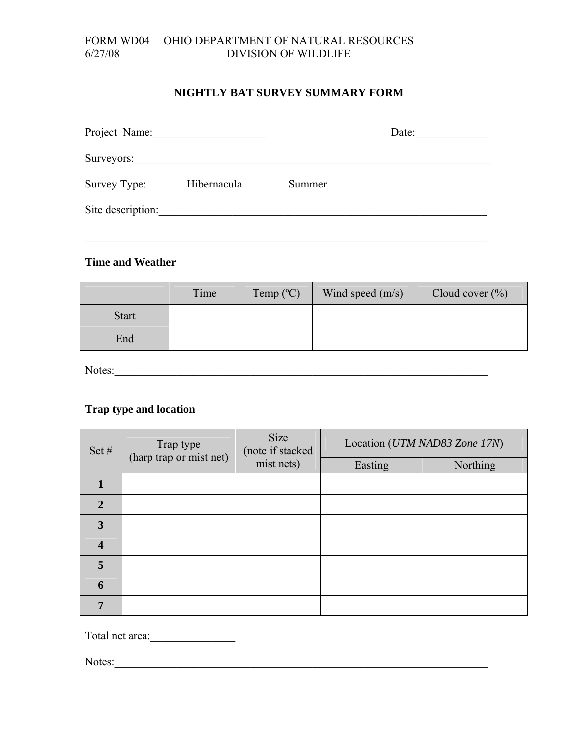#### FORM WD04 OHIO DEPARTMENT OF NATURAL RESOURCES 6/27/08 DIVISION OF WILDLIFE

#### **NIGHTLY BAT SURVEY SUMMARY FORM**

| Project Name:     |             |        | Date: |
|-------------------|-------------|--------|-------|
| Surveyors:        |             |        |       |
| Survey Type:      | Hibernacula | Summer |       |
| Site description: |             |        |       |
|                   |             |        |       |

#### **Time and Weather**

|              | Time | Temp $(^{\circ}C)$ | Wind speed $(m/s)$ | Cloud cover $(\% )$ |
|--------------|------|--------------------|--------------------|---------------------|
| <b>Start</b> |      |                    |                    |                     |
| End          |      |                    |                    |                     |

Notes:\_\_\_\_\_\_\_\_\_\_\_\_\_\_\_\_\_\_\_\_\_\_\_\_\_\_\_\_\_\_\_\_\_\_\_\_\_\_\_\_\_\_\_\_\_\_\_\_\_\_\_\_\_\_\_\_\_\_\_\_\_\_\_\_\_\_

# **Trap type and location**

| Set $#$        | Trap type<br>(harp trap or mist net) | Size<br>(note if stacked | Location (UTM NAD83 Zone 17N) |                 |  |
|----------------|--------------------------------------|--------------------------|-------------------------------|-----------------|--|
|                |                                      | mist nets)               | Easting                       | <b>Northing</b> |  |
| 1              |                                      |                          |                               |                 |  |
| $\overline{2}$ |                                      |                          |                               |                 |  |
| 3              |                                      |                          |                               |                 |  |
| 4              |                                      |                          |                               |                 |  |
| 5              |                                      |                          |                               |                 |  |
| 6              |                                      |                          |                               |                 |  |
| 7              |                                      |                          |                               |                 |  |

Total net area:\_\_\_\_\_\_\_\_\_\_\_\_\_\_\_

Notes:\_\_\_\_\_\_\_\_\_\_\_\_\_\_\_\_\_\_\_\_\_\_\_\_\_\_\_\_\_\_\_\_\_\_\_\_\_\_\_\_\_\_\_\_\_\_\_\_\_\_\_\_\_\_\_\_\_\_\_\_\_\_\_\_\_\_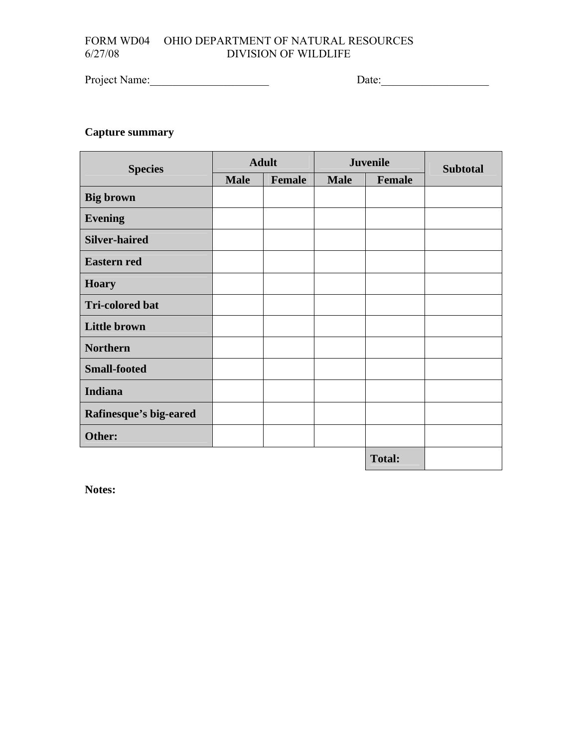# FORM WD04 OHIO DEPARTMENT OF NATURAL RESOURCES<br>6/27/08 DIVISION OF WILDLIFE DIVISION OF WILDLIFE

Project Name:\_\_\_\_\_\_\_\_\_\_\_\_\_\_\_\_\_\_\_\_\_ Date:\_\_\_\_\_\_\_\_\_\_\_\_\_\_\_\_\_\_\_

# **Capture summary**

| <b>Species</b>         |             | <b>Adult</b> |             | <b>Juvenile</b> | <b>Subtotal</b> |
|------------------------|-------------|--------------|-------------|-----------------|-----------------|
|                        | <b>Male</b> | Female       | <b>Male</b> | Female          |                 |
| <b>Big brown</b>       |             |              |             |                 |                 |
| <b>Evening</b>         |             |              |             |                 |                 |
| <b>Silver-haired</b>   |             |              |             |                 |                 |
| <b>Eastern red</b>     |             |              |             |                 |                 |
| <b>Hoary</b>           |             |              |             |                 |                 |
| <b>Tri-colored bat</b> |             |              |             |                 |                 |
| <b>Little brown</b>    |             |              |             |                 |                 |
| <b>Northern</b>        |             |              |             |                 |                 |
| <b>Small-footed</b>    |             |              |             |                 |                 |
| <b>Indiana</b>         |             |              |             |                 |                 |
| Rafinesque's big-eared |             |              |             |                 |                 |
| Other:                 |             |              |             |                 |                 |
|                        |             |              |             | <b>Total:</b>   |                 |

**Notes:**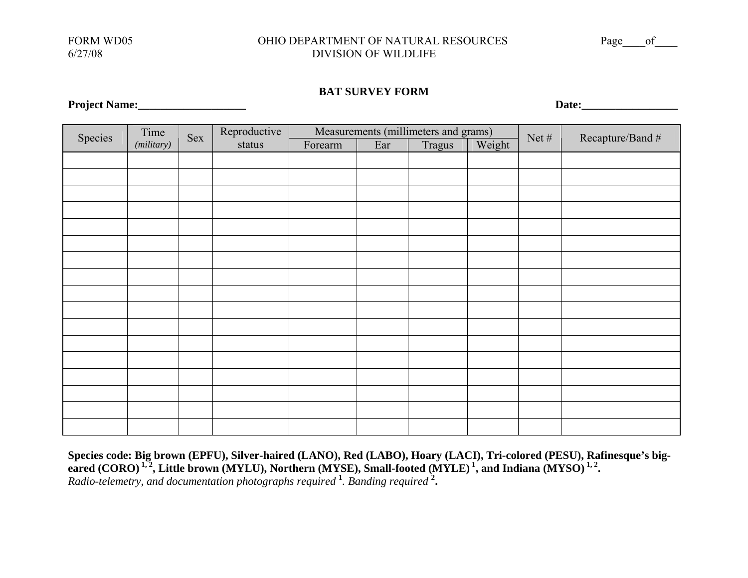#### FORM WD05 OHIO DEPARTMENT OF NATURAL RESOURCES Page of 6/27/08 DIVISION OF WILDLIFE

#### **BAT SURVEY FORM**

| Species | Time      | Sex | Reproductive |         |     | Measurements (millimeters and grams) |        | Net $#$ |                  |
|---------|-----------|-----|--------------|---------|-----|--------------------------------------|--------|---------|------------------|
|         | (miliary) |     | status       | Forearm | Ear | Tragus                               | Weight |         | Recapture/Band # |
|         |           |     |              |         |     |                                      |        |         |                  |
|         |           |     |              |         |     |                                      |        |         |                  |
|         |           |     |              |         |     |                                      |        |         |                  |
|         |           |     |              |         |     |                                      |        |         |                  |
|         |           |     |              |         |     |                                      |        |         |                  |
|         |           |     |              |         |     |                                      |        |         |                  |
|         |           |     |              |         |     |                                      |        |         |                  |
|         |           |     |              |         |     |                                      |        |         |                  |
|         |           |     |              |         |     |                                      |        |         |                  |
|         |           |     |              |         |     |                                      |        |         |                  |
|         |           |     |              |         |     |                                      |        |         |                  |
|         |           |     |              |         |     |                                      |        |         |                  |
|         |           |     |              |         |     |                                      |        |         |                  |
|         |           |     |              |         |     |                                      |        |         |                  |
|         |           |     |              |         |     |                                      |        |         |                  |
|         |           |     |              |         |     |                                      |        |         |                  |
|         |           |     |              |         |     |                                      |        |         |                  |

**Species code: Big brown (EPFU), Silver-haired (LANO), Red (LABO), Hoary (LACI), Tri-colored (PESU), Rafinesque's big**eared (CORO) <sup>1, 2</sup>, Little brown (MYLU), Northern (MYSE), Small-footed (MYLE) <sup>1</sup>, and Indiana (MYSO) <sup>1, 2</sup>. *Radio-telemetry, and documentation photographs required* **<sup>1</sup>***. Banding required* **2.** 

**Project Name:\_\_\_\_\_\_\_\_\_\_\_\_\_\_\_\_\_\_\_ Date:\_\_\_\_\_\_\_\_\_\_\_\_\_\_\_\_\_**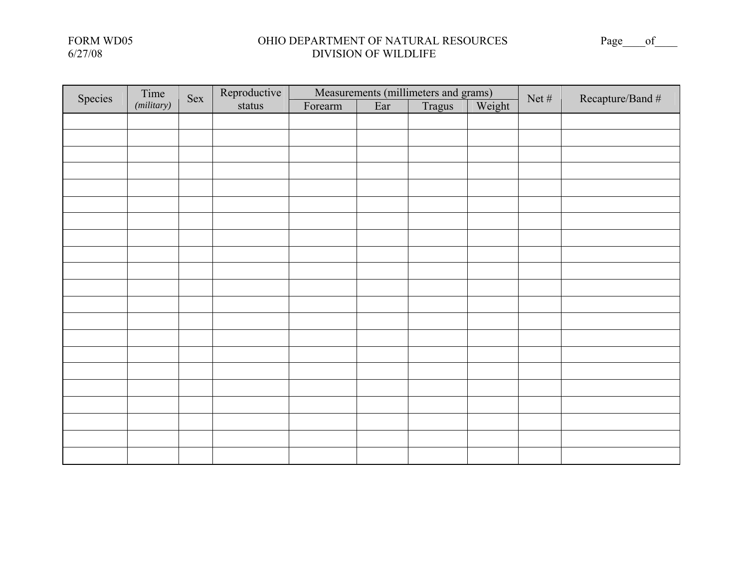#### FORM WD05 OHIO DEPARTMENT OF NATURAL RESOURCES Page\_\_\_\_of\_\_\_\_ 6/27/08 DIVISION OF WILDLIFE

| Species | Time      | Sex | Reproductive |         |     | Measurements (millimeters and grams) |        | Net $#$ | Recapture/Band # |
|---------|-----------|-----|--------------|---------|-----|--------------------------------------|--------|---------|------------------|
|         | (miliary) |     | status       | Forearm | Ear | Tragus                               | Weight |         |                  |
|         |           |     |              |         |     |                                      |        |         |                  |
|         |           |     |              |         |     |                                      |        |         |                  |
|         |           |     |              |         |     |                                      |        |         |                  |
|         |           |     |              |         |     |                                      |        |         |                  |
|         |           |     |              |         |     |                                      |        |         |                  |
|         |           |     |              |         |     |                                      |        |         |                  |
|         |           |     |              |         |     |                                      |        |         |                  |
|         |           |     |              |         |     |                                      |        |         |                  |
|         |           |     |              |         |     |                                      |        |         |                  |
|         |           |     |              |         |     |                                      |        |         |                  |
|         |           |     |              |         |     |                                      |        |         |                  |
|         |           |     |              |         |     |                                      |        |         |                  |
|         |           |     |              |         |     |                                      |        |         |                  |
|         |           |     |              |         |     |                                      |        |         |                  |
|         |           |     |              |         |     |                                      |        |         |                  |
|         |           |     |              |         |     |                                      |        |         |                  |
|         |           |     |              |         |     |                                      |        |         |                  |
|         |           |     |              |         |     |                                      |        |         |                  |
|         |           |     |              |         |     |                                      |        |         |                  |
|         |           |     |              |         |     |                                      |        |         |                  |
|         |           |     |              |         |     |                                      |        |         |                  |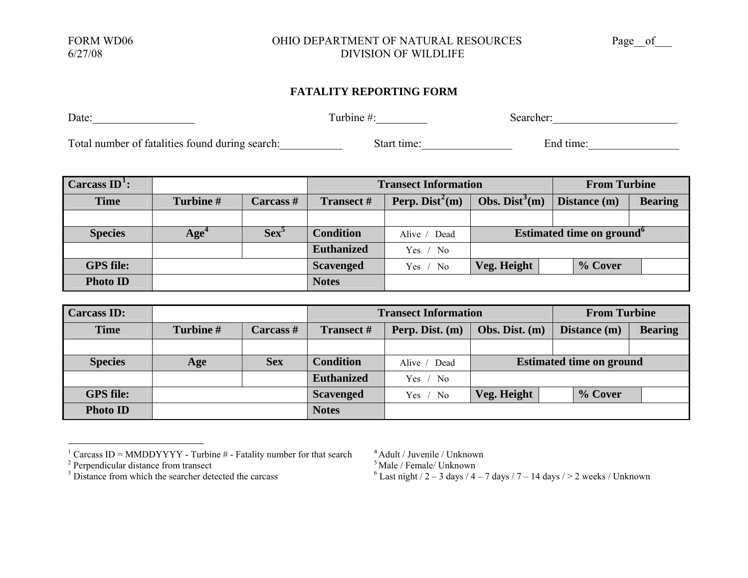#### FORM WD06 0HIO DEPARTMENT OF NATURAL RESOURCES Page of 6/27/08 DIVISION OF WILDLIFE

#### **FATALITY REPORTING FORM**

Date: Searcher: Searcher: Searcher: Searcher: Searcher: Searcher: Searcher: Searcher: Searcher: Searcher: Searcher: Searcher: Searcher: Searcher: Searcher: Searcher: Searcher: Searcher: Searcher: Searcher: Searcher: Search

Total number of fatalities found during search: <br>Next time: End time: End time:

| $\int Carcass ID^1$ : |                  |                  |                   | <b>Transect Information</b>   |                                       |                | <b>From Turbine</b> |  |
|-----------------------|------------------|------------------|-------------------|-------------------------------|---------------------------------------|----------------|---------------------|--|
| <b>Time</b>           | Turbine#         | <b>Carcass</b> # | <b>Transect #</b> | Perp. Dist <sup>2</sup> $(m)$ | Obs. Dist <sup>3</sup> $(m)$          | <b>Bearing</b> |                     |  |
|                       |                  |                  |                   |                               |                                       |                |                     |  |
| <b>Species</b>        | Age <sup>4</sup> | Sex <sup>5</sup> | <b>Condition</b>  | Alive / Dead                  | Estimated time on ground <sup>o</sup> |                |                     |  |
|                       |                  |                  | <b>Euthanized</b> | Yes / No                      |                                       |                |                     |  |
| <b>GPS</b> file:      |                  |                  | <b>Scavenged</b>  | Yes / No                      | Veg. Height                           | % Cover        |                     |  |
| <b>Photo ID</b>       |                  |                  | <b>Notes</b>      |                               |                                       |                |                     |  |

| <b>Carcass ID:</b> |           |            |                   | <b>Transect Information</b> |                                 |              | <b>From Turbine</b> |  |  |
|--------------------|-----------|------------|-------------------|-----------------------------|---------------------------------|--------------|---------------------|--|--|
| <b>Time</b>        | Turbine # | Carcass#   | <b>Transect</b> # | Perp. Dist. (m)             | Obs. Dist. (m)                  | Distance (m) | <b>Bearing</b>      |  |  |
|                    |           |            |                   |                             |                                 |              |                     |  |  |
| <b>Species</b>     | Age       | <b>Sex</b> | <b>Condition</b>  | Alive / Dead                | <b>Estimated time on ground</b> |              |                     |  |  |
|                    |           |            | <b>Euthanized</b> | Yes / No                    |                                 |              |                     |  |  |
| <b>GPS</b> file:   |           |            | <b>Scavenged</b>  | Yes $/$ No                  | Veg. Height                     | % Cover      |                     |  |  |
| <b>Photo ID</b>    |           |            | <b>Notes</b>      |                             |                                 |              |                     |  |  |

<span id="page-36-2"></span><span id="page-36-1"></span><sup>3</sup> Distance from which the searcher detected the carcass <sup>6</sup> Last night  $/2 - 3$  days  $/4 - 7$  days  $/7 - 14$  days  $/ > 2$  weeks / Unknown

<span id="page-36-0"></span><sup>&</sup>lt;sup>1</sup> Carcass ID = MMDDYYYY - Turbine # - Fatality number for that search  $4$  Adult / Juvenile / Unknown

 $2^2$  Perpendicular distance from transect  $5$  Male / Female / Unknown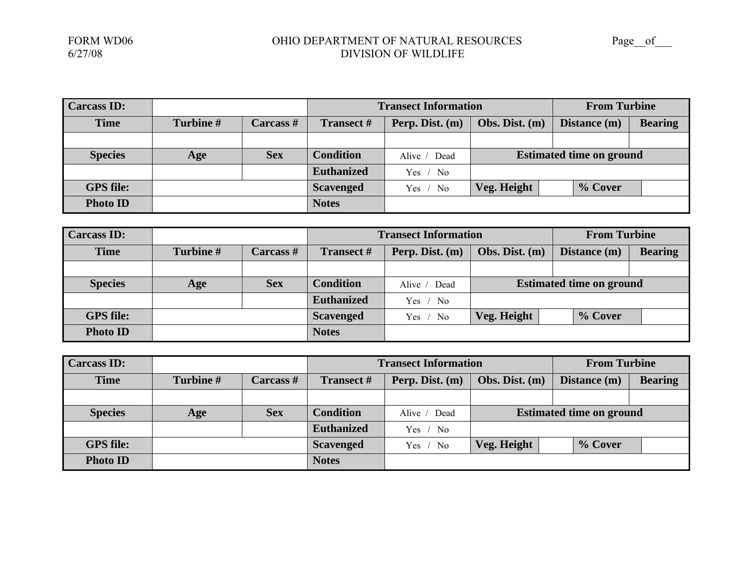| <b>Carcass ID:</b> |           |                  |                   | <b>Transect Information</b> |                                 |                                | <b>From Turbine</b> |  |
|--------------------|-----------|------------------|-------------------|-----------------------------|---------------------------------|--------------------------------|---------------------|--|
| <b>Time</b>        | Turbine # | <b>Carcass</b> # | <b>Transect</b> # | Perp. Dist. (m)             | Obs. Dist. (m)                  | Distance (m)<br><b>Bearing</b> |                     |  |
|                    |           |                  |                   |                             |                                 |                                |                     |  |
| <b>Species</b>     | Age       | <b>Sex</b>       | <b>Condition</b>  | Alive / Dead                | <b>Estimated time on ground</b> |                                |                     |  |
|                    |           |                  | <b>Euthanized</b> | Yes / No                    |                                 |                                |                     |  |
| <b>GPS</b> file:   |           |                  | <b>Scavenged</b>  | Yes / No                    | Veg. Height                     | % Cover                        |                     |  |
| <b>Photo ID</b>    |           |                  | <b>Notes</b>      |                             |                                 |                                |                     |  |

| <b>Carcass ID:</b> |           |                  |                   | <b>Transect Information</b> |                                 |              | <b>From Turbine</b> |  |
|--------------------|-----------|------------------|-------------------|-----------------------------|---------------------------------|--------------|---------------------|--|
| <b>Time</b>        | Turbine # | <b>Carcass</b> # | <b>Transect</b> # | Perp. Dist. (m)             | Obs. Dist. (m)                  | Distance (m) | <b>Bearing</b>      |  |
|                    |           |                  |                   |                             |                                 |              |                     |  |
| <b>Species</b>     | Age       | <b>Sex</b>       | <b>Condition</b>  | Alive / Dead                | <b>Estimated time on ground</b> |              |                     |  |
|                    |           |                  | <b>Euthanized</b> | Yes / No                    |                                 |              |                     |  |
| <b>GPS</b> file:   |           |                  | <b>Scavenged</b>  | Yes / No                    | Veg. Height                     | % Cover      |                     |  |
| <b>Photo ID</b>    |           |                  | <b>Notes</b>      |                             |                                 |              |                     |  |

| <b>Carcass ID:</b> |          |                  |                   | <b>Transect Information</b> |                                 | <b>From Turbine</b> |                |
|--------------------|----------|------------------|-------------------|-----------------------------|---------------------------------|---------------------|----------------|
| <b>Time</b>        | Turbine# | <b>Carcass</b> # | <b>Transect #</b> | Perp. Dist. (m)             | Obs. Dist. $(m)$                | Distance (m)        | <b>Bearing</b> |
|                    |          |                  |                   |                             |                                 |                     |                |
| <b>Species</b>     | Age      | <b>Sex</b>       | <b>Condition</b>  | Alive / Dead                | <b>Estimated time on ground</b> |                     |                |
|                    |          |                  | <b>Euthanized</b> | Yes $/$ No                  |                                 |                     |                |
| <b>GPS</b> file:   |          |                  | <b>Scavenged</b>  | Yes $/$ No                  | Veg. Height                     | % Cover             |                |
| <b>Photo ID</b>    |          |                  | <b>Notes</b>      |                             |                                 |                     |                |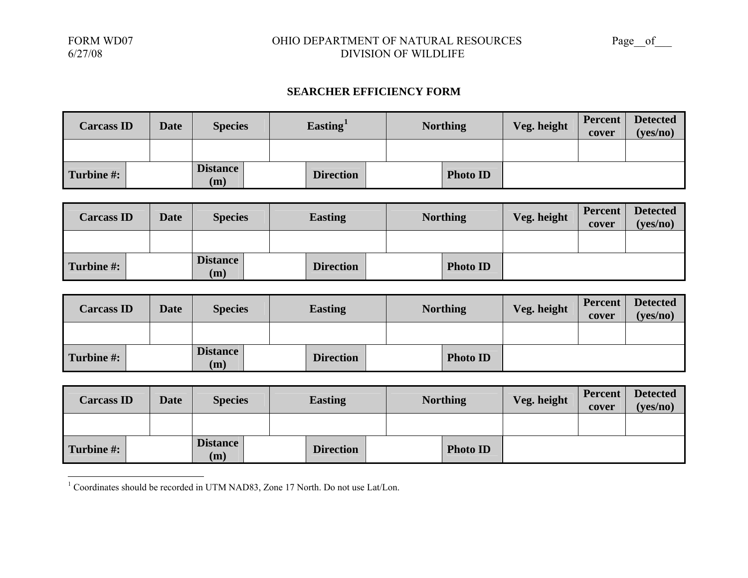#### FORM WD07 OHIO DEPARTMENT OF NATURAL RESOURCES Page\_\_of\_\_\_ DIVISION OF WILDLIFE

#### **SEARCHER EFFICIENCY FORM**

| <b>Carcass ID</b> | <b>Date</b> | <b>Species</b>         |  | Easting <sup>1</sup> |  | <b>Northing</b> | Veg. height | Percent<br>cover | <b>Detected</b><br>(yes/no) |
|-------------------|-------------|------------------------|--|----------------------|--|-----------------|-------------|------------------|-----------------------------|
|                   |             |                        |  |                      |  |                 |             |                  |                             |
| Turbine #:        |             | <b>Distance</b><br>(m) |  | <b>Direction</b>     |  | <b>Photo ID</b> |             |                  |                             |

| <b>Carcass ID</b> | <b>Date</b> | <b>Species</b>         | <b>Easting</b>   | <b>Northing</b> | Veg. height | Percent<br>cover | <b>Detected</b><br>(yes/no) |
|-------------------|-------------|------------------------|------------------|-----------------|-------------|------------------|-----------------------------|
|                   |             |                        |                  |                 |             |                  |                             |
| Turbine #:        |             | <b>Distance</b><br>(m) | <b>Direction</b> | <b>Photo ID</b> |             |                  |                             |

| <b>Carcass ID</b> | <b>Date</b> | <b>Species</b>         | <b>Easting</b>   | <b>Northing</b> | Veg. height | <b>Percent</b><br>cover | <b>Detected</b><br>(yes/no) |
|-------------------|-------------|------------------------|------------------|-----------------|-------------|-------------------------|-----------------------------|
|                   |             |                        |                  |                 |             |                         |                             |
| Turbine #:        |             | <b>Distance</b><br>(m) | <b>Direction</b> | <b>Photo ID</b> |             |                         |                             |

| <b>Carcass ID</b> | <b>Date</b> | <b>Species</b>         | <b>Easting</b>   | <b>Northing</b> | Veg. height | Percent<br>cover | <b>Detected</b><br>(yes/no) |
|-------------------|-------------|------------------------|------------------|-----------------|-------------|------------------|-----------------------------|
|                   |             |                        |                  |                 |             |                  |                             |
| Turbine #:        |             | <b>Distance</b><br>(m) | <b>Direction</b> | <b>Photo ID</b> |             |                  |                             |

<span id="page-38-0"></span><sup>1</sup> Coordinates should be recorded in UTM NAD83, Zone 17 North. Do not use Lat/Lon.